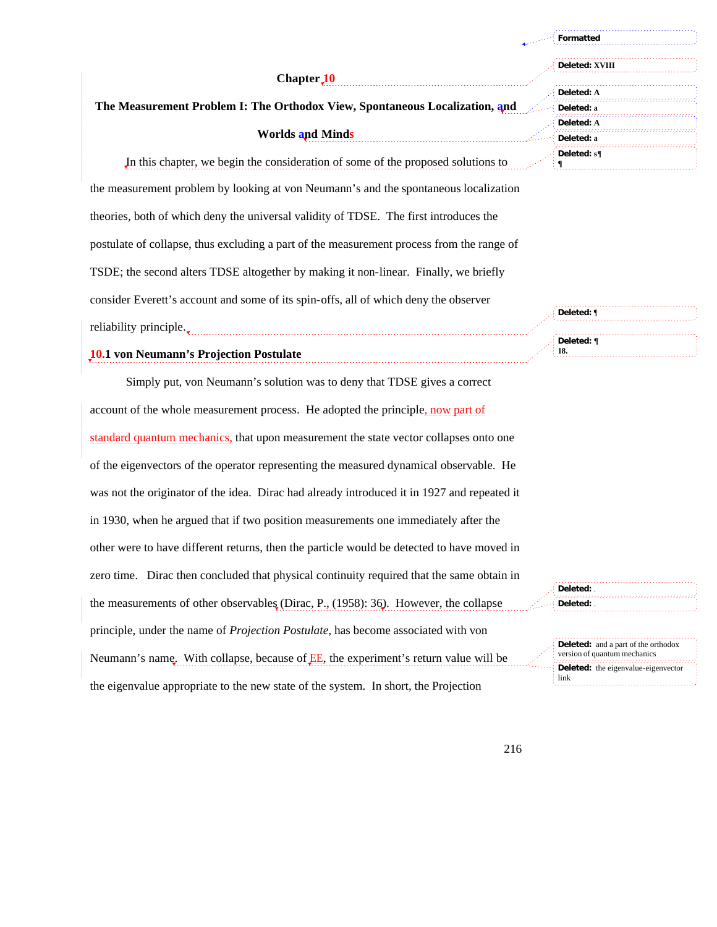|                                                                                           | Formatted                |
|-------------------------------------------------------------------------------------------|--------------------------|
| Chapter 10                                                                                | Deleted: XVIII           |
| The Measurement Problem I: The Orthodox View, Spontaneous Localization, and               | Deleted: A<br>Deleted: a |
| <b>Worlds and Minds</b>                                                                   | Deleted: A<br>Deleted: a |
| In this chapter, we begin the consideration of some of the proposed solutions to          | Deleted: $s\P$           |
| the measurement problem by looking at von Neumann's and the spontaneous localization      |                          |
| theories, both of which deny the universal validity of TDSE. The first introduces the     |                          |
| postulate of collapse, thus excluding a part of the measurement process from the range of |                          |
| TSDE; the second alters TDSE altogether by making it non-linear. Finally, we briefly      |                          |
| consider Everett's account and some of its spin-offs, all of which deny the observer      | Deleted: ¶               |
| reliability principle.                                                                    |                          |
| <b>10.1</b> von Neumann's Projection Postulate                                            | Deleted: ¶<br>18.        |

Simply put, von Neumann's solution was to deny that TDSE gives a correct account of the whole measurement process. He adopted the principle, now part of standard quantum mechanics, that upon measurement the state vector collapses onto one of the eigenvectors of the operator representing the measured dynamical observable. He was not the originator of the idea. Dirac had already introduced it in 1927 and repeated it in 1930, when he argued that if two position measurements one immediately after the other were to have different returns, then the particle would be detected to have moved in zero time. Dirac then concluded that physical continuity required that the same obtain in the measurements of other observables (Dirac, P., (1958): 36). However, the collapse principle, under the name of *Projection Postulate*, has become associated with von Neumann's name. With collapse, because of **EE**, the experiment's return value will be the eigenvalue appropriate to the new state of the system. In short, the Projection

**Deleted:** . **Deleted:** .

**Deleted:** and a part of the orthodox version of quantum mechanics **Deleted:** the eigenvalue-eigenvector link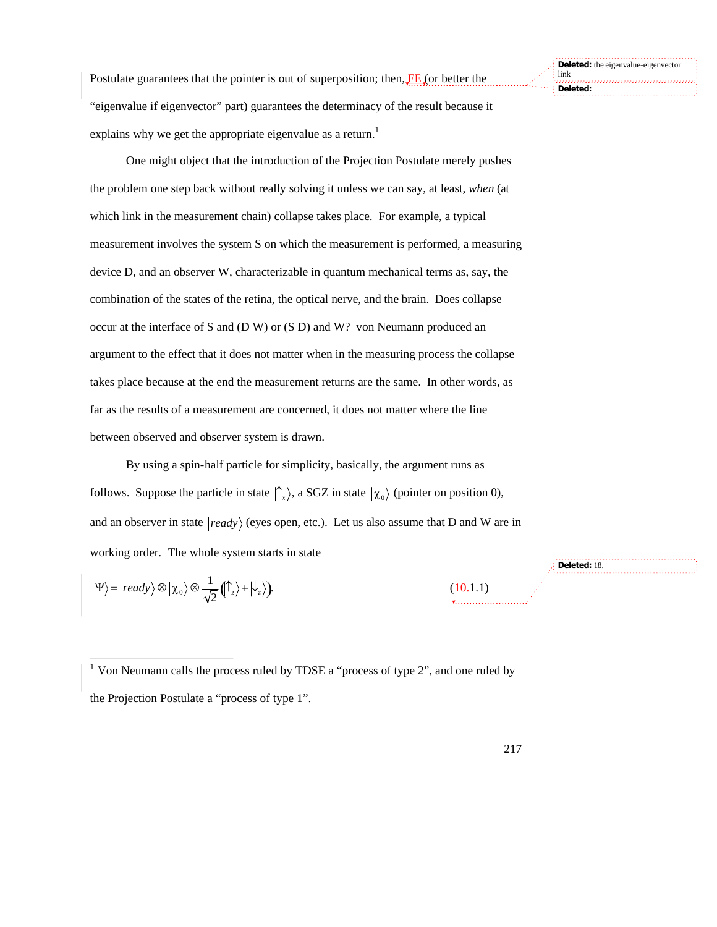Postulate guarantees that the pointer is out of superposition; then, **EE** (or better the "eigenvalue if eigenvector" part) guarantees the determinacy of the result because it

explains why we get the appropriate eigenvalue as a return.<sup>1</sup>

One might object that the introduction of the Projection Postulate merely pushes the problem one step back without really solving it unless we can say, at least, *when* (at which link in the measurement chain) collapse takes place. For example, a typical measurement involves the system S on which the measurement is performed, a measuring device D, and an observer W, characterizable in quantum mechanical terms as, say, the combination of the states of the retina, the optical nerve, and the brain. Does collapse occur at the interface of S and (D W) or (S D) and W? von Neumann produced an argument to the effect that it does not matter when in the measuring process the collapse takes place because at the end the measurement returns are the same. In other words, as far as the results of a measurement are concerned, it does not matter where the line between observed and observer system is drawn.

By using a spin-half particle for simplicity, basically, the argument runs as follows. Suppose the particle in state  $|\hat{\Gamma}_x\rangle$ , a SGZ in state  $|\chi_0\rangle$  (pointer on position 0), working order. The whole system starts in state and an observer in state  $|ready\rangle$  (eyes open, etc.). Let us also assume that D and W are in

$$
|\Psi\rangle = |ready\rangle \otimes |\chi_0\rangle \otimes \frac{1}{\sqrt{2}} (|\hat{\mathsf{T}}_z\rangle + |\hat{\mathsf{L}}_z\rangle).
$$
 (10.1.1)

<sup>1</sup> Von Neumann calls the process ruled by TDSE a "process of type 2", and one ruled by the Projection Postulate a "process of type 1".

**Deleted:** 18.

**Deleted:** the eigenvalue-eigenvector link **Deleted:**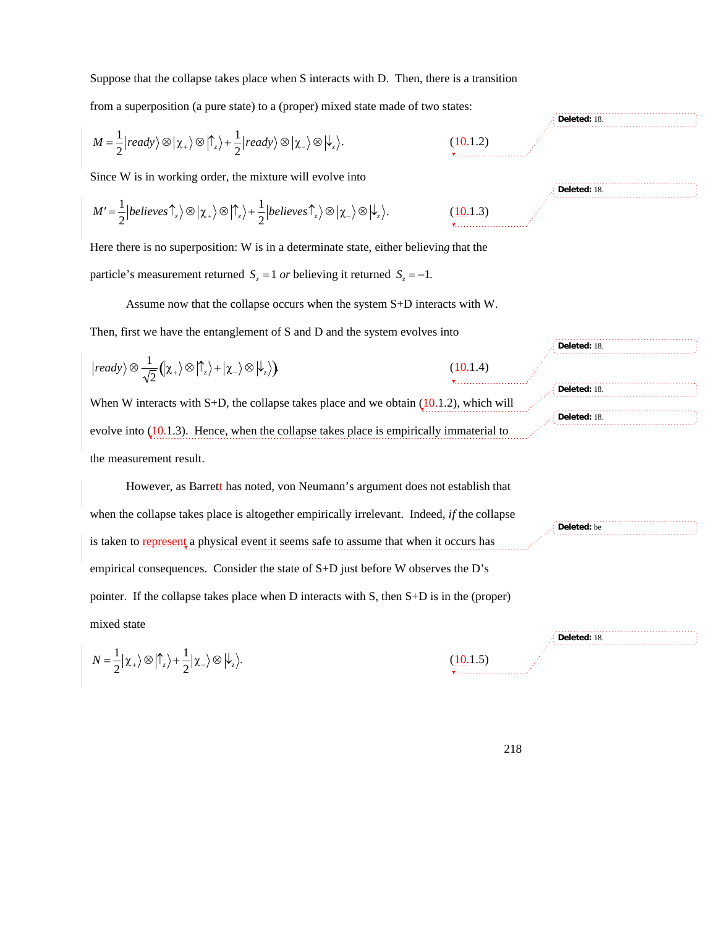from a superposition (a pure state) to a (proper) mixed state made of two states:

$$
M=\frac{1}{2}\Big|ready\rangle\otimes\Big|\chi_{+}\rangle\otimes\Big|\hat{\Gamma}_{z}\rangle+\frac{1}{2}\Big|ready\rangle\otimes\Big|\chi_{-}\rangle\otimes\Big|\psi_{z}\rangle.
$$

Since W is in working order, the mixture will evolve into

$$
M' = \frac{1}{2} |believes \hat{\uparrow}_{z} \rangle \otimes |\chi_{+} \rangle \otimes |\hat{\uparrow}_{z} \rangle + \frac{1}{2} |believes \hat{\uparrow}_{z} \rangle \otimes |\chi_{-} \rangle \otimes |\psi_{z} \rangle.
$$

Here there is no superposition: W is in a determinate state, either believin*g* that the particle's measurement returned  $S_z = 1$  *or* believing it returned  $S_z = -1$ .

Assume now that the collapse occurs when the system S+D interacts with W.

Then, first we have the entanglement of S and D and the system evolves into

$$
|ready\rangle \otimes \frac{1}{\sqrt{2}} (\chi_+ \rangle \otimes |\uparrow_z \rangle + |\chi_- \rangle \otimes |\downarrow_z \rangle)
$$
\n(10.1.4)  
\nWhen W interacts with S+D, the collapse takes place and we obtain (10.1.2), which will  
\nevolve into (10.1.3). Hence, when the collapse takes place is empirically immaterial to  
\n(10.1.3).

the measurement result.

However, as Barrett has noted, von Neumann's argument does not establish that when the collapse takes place is altogether empirically irrelevant. Indeed, *if* the collapse is taken to **represent** a physical event it seems safe to assume that when it occurs has empirical consequences. Consider the state of S+D just before W observes the D's pointer. If the collapse takes place when D interacts with S, then S+D is in the (proper) mixed state **Deleted:** be **Deleted:** 18.

$$
N = \frac{1}{2} |\chi_+ \rangle \otimes |\uparrow_z \rangle + \frac{1}{2} |\chi_- \rangle \otimes |\downarrow_z \rangle.
$$

 $(10.1.5)$ 

 $(10.1.2)$ 

 $(10.1.3)$ 

$$
\begin{array}{c}\n\text{Deleteed: 18.}\n\hline\n\end{array}
$$
\n
$$
\begin{array}{c}\n\text{Deleteed: 18.}\n\hline\n\end{array}
$$
\n
$$
\begin{array}{c}\n\text{Deleteed: 18.}\n\hline\n\end{array}
$$
\n
$$
\begin{array}{c}\n\text{Deleteed: 18.}\n\hline\n\end{array}
$$

**Deleted:** 18.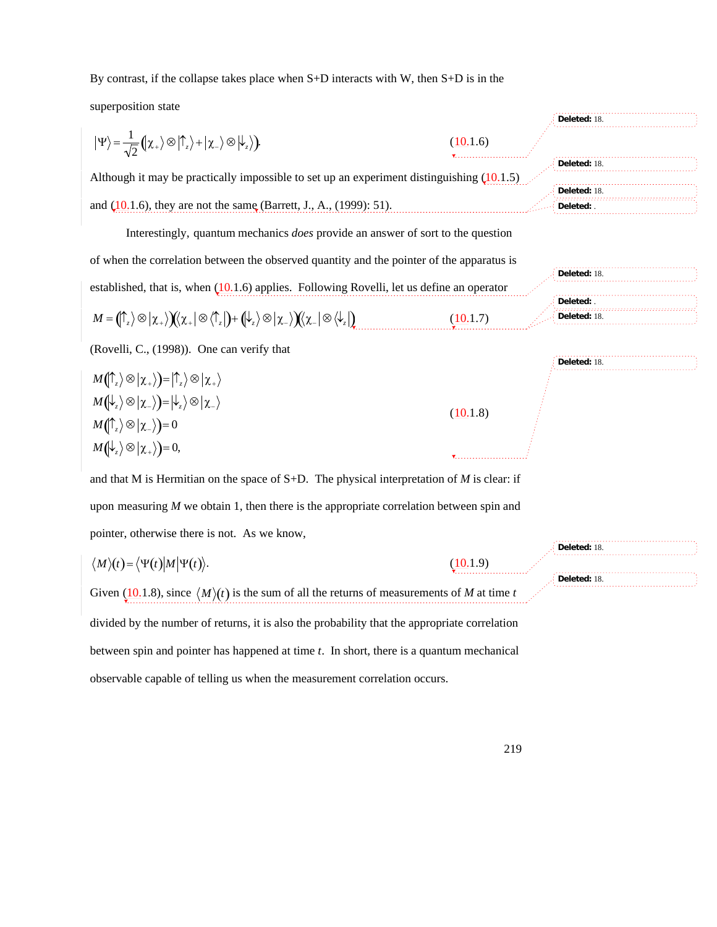By contrast, if the collapse takes place when S+D interacts with W, then S+D is in the

superposition state

| superposition state                                                                                                                                                      |          | Deleted: 18.               |
|--------------------------------------------------------------------------------------------------------------------------------------------------------------------------|----------|----------------------------|
| $ \Psi\rangle = \frac{1}{\sqrt{2}} ( \chi_+\rangle \otimes  \uparrow_z\rangle +  \chi_-\rangle \otimes  \downarrow_z\rangle).$                                           | (10.1.6) |                            |
| Although it may be practically impossible to set up an experiment distinguishing $(10.1.5)$                                                                              |          | Deleted: 18.               |
| and $(10.1.6)$ , they are not the same (Barrett, J., A., (1999): 51).                                                                                                    |          | Deleted: 18.<br>Deleted: . |
| Interestingly, quantum mechanics <i>does</i> provide an answer of sort to the question                                                                                   |          |                            |
| of when the correlation between the observed quantity and the pointer of the apparatus is                                                                                |          |                            |
|                                                                                                                                                                          |          | Deleted: 18.               |
| established, that is, when $(10.1.6)$ applies. Following Rovelli, let us define an operator                                                                              |          | Deleted: .                 |
| $M = (\uparrow_z) \otimes  \chi_+\rangle)(\chi_+   \otimes \langle \uparrow_z ) + (\downarrow_z \rangle \otimes  \chi_-\rangle)(\chi_-   \otimes \langle \downarrow_z )$ | (10.1.7) | Deleted: 18.               |
| (Rovelli, C., (1998)). One can verify that                                                                                                                               |          |                            |
| $M(\uparrow_z\rangle\otimes\vert\chi_{+}\rangle)=\vert\uparrow_z\rangle\otimes\vert\chi_{+}\rangle$                                                                      |          | Deleted: 18.               |
| $M(\downarrow_z\rangle\otimes\vert\chi_-\rangle)=\vert\downarrow_z\rangle\otimes\vert\chi_-\rangle$                                                                      |          |                            |
| $M(\uparrow_z) \otimes  \chi_{-}\rangle = 0$                                                                                                                             | (10.1.8) |                            |
|                                                                                                                                                                          |          |                            |
| $M(\downarrow_z\rangle\otimes\vert\chi_{+}\rangle)=0,$                                                                                                                   |          |                            |
| and that M is Hermitian on the space of S+D. The physical interpretation of M is clear: if                                                                               |          |                            |
| upon measuring $M$ we obtain 1, then there is the appropriate correlation between spin and                                                                               |          |                            |
| pointer, otherwise there is not. As we know,                                                                                                                             |          |                            |
| $\langle M \rangle(t) = \langle \Psi(t)   M   \Psi(t) \rangle.$                                                                                                          | (10.1.9) | Deleted: 18.               |
| Given (10.1.8), since $\langle M \rangle(t)$ is the sum of all the returns of measurements of M at time t                                                                |          | Deleted: 18.               |
| divided by the number of returns, it is also the probability that the appropriate correlation                                                                            |          |                            |
| between spin and pointer has happened at time $t$ . In short, there is a quantum mechanical                                                                              |          |                            |
| observable capable of telling us when the measurement correlation occurs.                                                                                                |          |                            |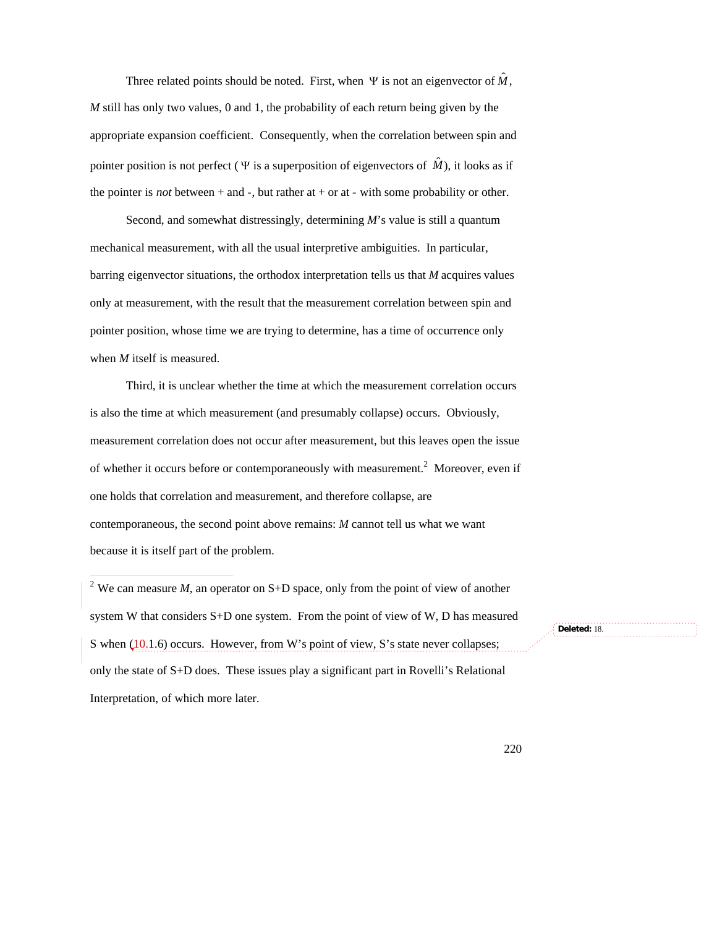Three related points should be noted. First, when  $\Psi$  is not an eigenvector of  $\hat{M}$ , appropriate expansion coefficient. Consequently, when the correlation between spin and *M* still has only two values, 0 and 1, the probability of each return being given by the pointer position is not perfect ( $\Psi$  is a superposition of eigenvectors of  $\hat{M}$ ), it looks as if the pointer is *not* between  $+$  and  $-$ , but rather at  $+$  or at  $-$  with some probability or other.

Second, and somewhat distressingly, determining *M*'s value is still a quantum mechanical measurement, with all the usual interpretive ambiguities. In particular, barring eigenvector situations, the orthodox interpretation tells us that *M* acquires values only at measurement, with the result that the measurement correlation between spin and pointer position, whose time we are trying to determine, has a time of occurrence only when *M* itself is measured.

Third, it is unclear whether the time at which the measurement correlation occurs is also the time at which measurement (and presumably collapse) occurs. Obviously, measurement correlation does not occur after measurement, but this leaves open the issue of whether it occurs before or contemporaneously with measurement.<sup>2</sup> Moreover, even if one holds that correlation and measurement, and therefore collapse, are contemporaneous, the second point above remains: *M* cannot tell us what we want because it is itself part of the problem.

<sup>2</sup> We can measure *M*, an operator on S+D space, only from the point of view of another system W that considers S+D one system. From the point of view of W, D has measured S when (10.1.6) occurs. However, from W's point of view, S's state never collapses; only the state of S+D does. These issues play a significant part in Rovelli's Relational Interpretation, of which more later.

**Deleted:** 18.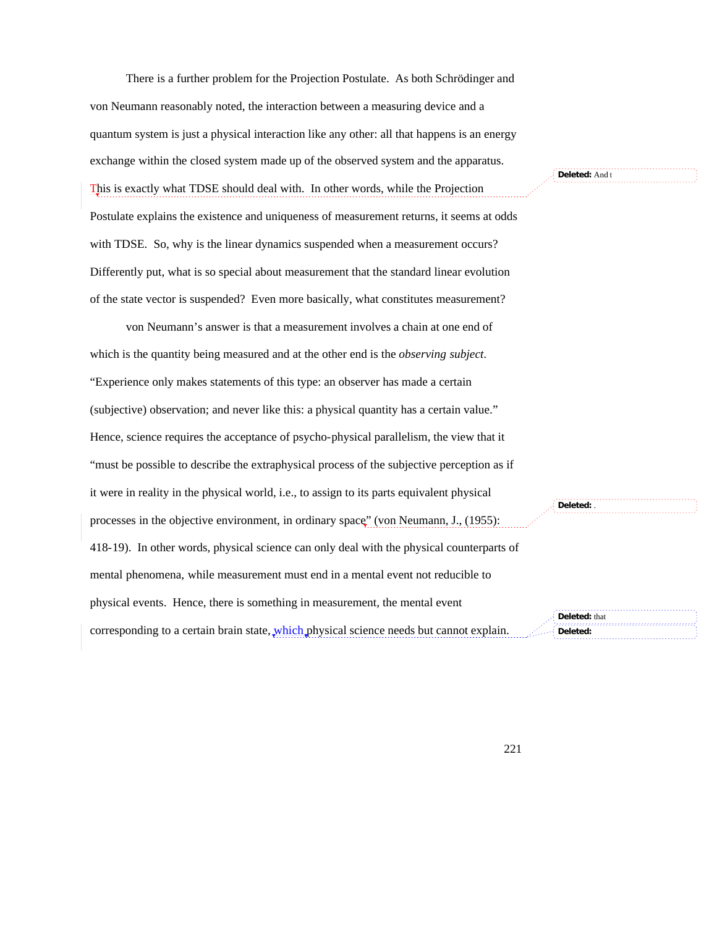There is a further problem for the Projection Postulate. As both Schrödinger and von Neumann reasonably noted, the interaction between a measuring device and a quantum system is just a physical interaction like any other: all that happens is an energy exchange within the closed system made up of the observed system and the apparatus. This is exactly what TDSE should deal with. In other words, while the Projection Postulate explains the existence and uniqueness of measurement returns, it seems at odds with TDSE. So, why is the linear dynamics suspended when a measurement occurs? Differently put, what is so special about measurement that the standard linear evolution of the state vector is suspended? Even more basically, what constitutes measurement?

von Neumann's answer is that a measurement involves a chain at one end of which is the quantity being measured and at the other end is the *observing subject*. "Experience only makes statements of this type: an observer has made a certain (subjective) observation; and never like this: a physical quantity has a certain value." Hence, science requires the acceptance of psycho-physical parallelism, the view that it "must be possible to describe the extraphysical process of the subjective perception as if it were in reality in the physical world, i.e., to assign to its parts equivalent physical processes in the objective environment, in ordinary space" (von Neumann, J., (1955): 418-19). In other words, physical science can only deal with the physical counterparts of mental phenomena, while measurement must end in a mental event not reducible to physical events. Hence, there is something in measurement, the mental event corresponding to a certain brain state, which physical science needs but cannot explain. **Deleted:** . **Deleted:** that **Deleted:** 

**Deleted:** And t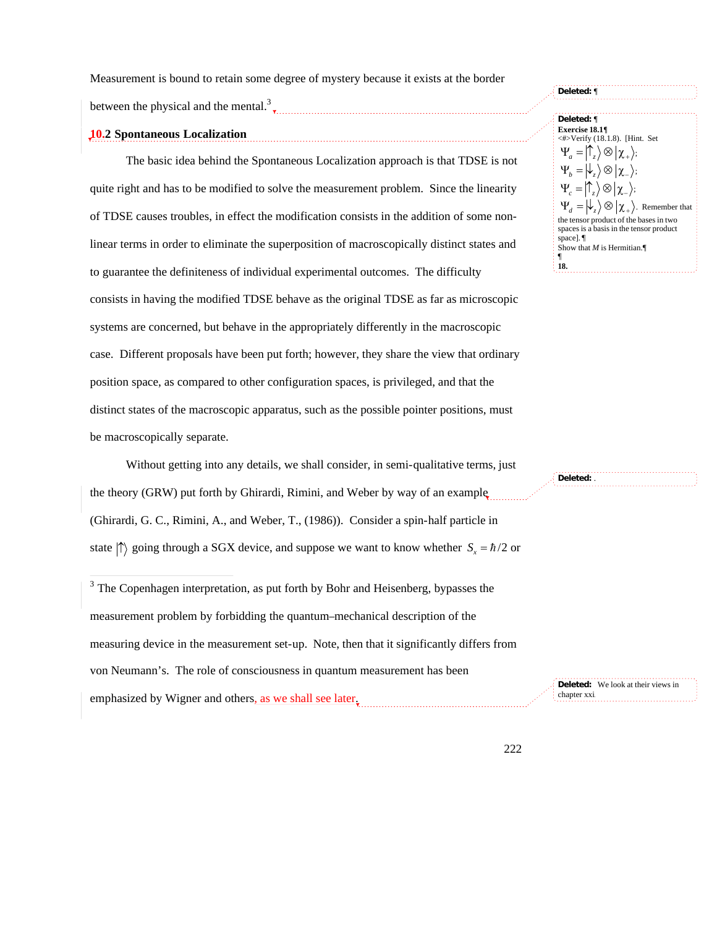Measurement is bound to retain some degree of mystery because it exists at the border

between the physical and the mental.<sup>3</sup>

# **10.2 Spontaneous Localization**

The basic idea behind the Spontaneous Localization approach is that TDSE is not quite right and has to be modified to solve the measurement problem. Since the linearity of TDSE causes troubles, in effect the modification consists in the addition of some nonlinear terms in order to eliminate the superposition of macroscopically distinct states and † to guarantee the definiteness of individual experimental outcomes. The difficulty consists in having the modified TDSE behave as the original TDSE as far as microscopic systems are concerned, but behave in the appropriately differently in the macroscopic case. Different proposals have been put forth; however, they share the view that ordinary position space, as compared to other configuration spaces, is privileged, and that the distinct states of the macroscopic apparatus, such as the possible pointer positions, must be macroscopically separate.  $\mathbf{r}$ <sub>t</sub>

Without getting into any details, we shall consider, in semi-qualitative terms, just the theory (GRW) put forth by Ghirardi, Rimini, and Weber by way of an example (Ghirardi, G. C., Rimini, A., and Weber, T., (1986)). Consider a spin-half particle in state  $\ket{\uparrow}$  going through a SGX device, and suppose we want to know whether  $S_x = \hbar/2$  or

†  $\mathcal{F}$ <sup>3</sup> The Copenhagen interpretation, as put forth by Bohr and Heisenberg, bypasses the measurement problem by forbidding the quantum–mechanical description of the measuring device in the measurement set-up. Note, then that it significantly differs from von Neumann's. The role of consciousness in quantum measurement has been emphasized by Wigner and others, as we shall see later.

**Deleted:** ¶ **Deleted:** ¶ **Exercise 18.1¶** <#>Verify (18.1.8). [Hint. Set  $\Psi_a = \big| \mathcal{T}_z \big\rangle \otimes \big| \chi_+ \big\rangle;$  $\Psi_b = \big| \downarrow_z \big\rangle \otimes \big| \chi_- \big\rangle;$  $\Psi_c = \big| \mathcal{T}_z \big\rangle \otimes \big| \chi_- \big\rangle;$  $\Psi_d = \big| \downarrow_z \big\rangle \otimes \big| \chi_+ \big\rangle$ . Remember that the tensor product of the bases in two spaces is a basis in the tensor product space]. ¶ Show that *M* is Hermitian.¶ ¶ **18.**

**Deleted:** We look at their views in

chapter xxi.

**Deleted:** .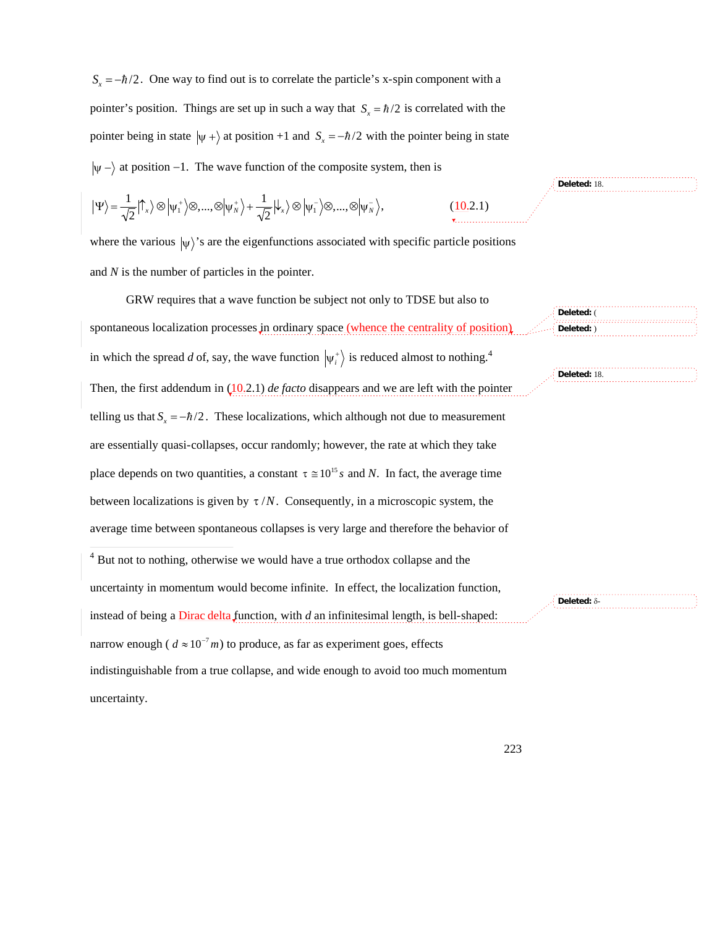$S<sub>x</sub> = -\hbar/2$ . One way to find out is to correlate the particle's x-spin component with a pointer's position. Things are set up in such a way that  $S<sub>x</sub> = \hbar/2$  is correlated with the  $\psi$  - at position -1. The wave function of the composite system, then is pointer being in state  $|\psi + \rangle$  at position +1 and  $S_x = -\hbar/2$  with the pointer being in state

$$
\big|\Psi\big>=\frac{1}{\sqrt{2}}\big|\hat{\mathbf{T}}_{x}\big>\otimes\big|\psi_{1}^{+}\big>\otimes,...,\otimes\big|\psi_{N}^{+}\big>+\frac{1}{\sqrt{2}}\big|\mathbf{L}_{x}\big>\otimes\big|\psi_{1}^{-}\big>\otimes,...,\otimes\big|\psi_{N}^{-}\big>,%
$$

where the various  $|\psi\rangle$ 's are the eigenfunctions associated with specific particle positions and *N* is the number of particles in the pointer.

GRW requires that a wave function be subject not only to TDSE but also to spontaneous localization processes in ordinary space (whence the centrality of position) in which the spread d of, say, the wave function  $|\psi_i^+\rangle$  is reduced almost to nothing.<sup>4</sup> telling us that  $S_x = -\hbar/2$ . These localizations, which although not due to measurement Then, the first addendum in (10.2.1) *de facto* disappears and we are left with the pointer place depends on two quantities, a constant  $\tau \approx 10^{15} s$  and *N*. In fact, the average time are essentially quasi-collapses, occur randomly; however, the rate at which they take average time between spontaneous collapses is very large and therefore the behavior of between localizations is given by  $\tau/N$ . Consequently, in a microscopic system, the  $\overline{4}$  But not to nothing, otherwise we would have a true orthodox collapse and the -**Deleted:** ( **Deleted:** ) **Deleted:** 18.

uncertainty in momentum would become infinite. In effect, the localization function, instead of being a Dirac delta function, with *d* an infinitesimal length, is bell-shaped: narrow enough ( $d \approx 10^{-7}$ *m*) to produce, as far as experiment goes, effects † uncertainty. indistinguishable from a true collapse, and wide enough to avoid too much momentum

**Deleted:** d-

**Deleted:** 18.

223

 $(10.2.1)$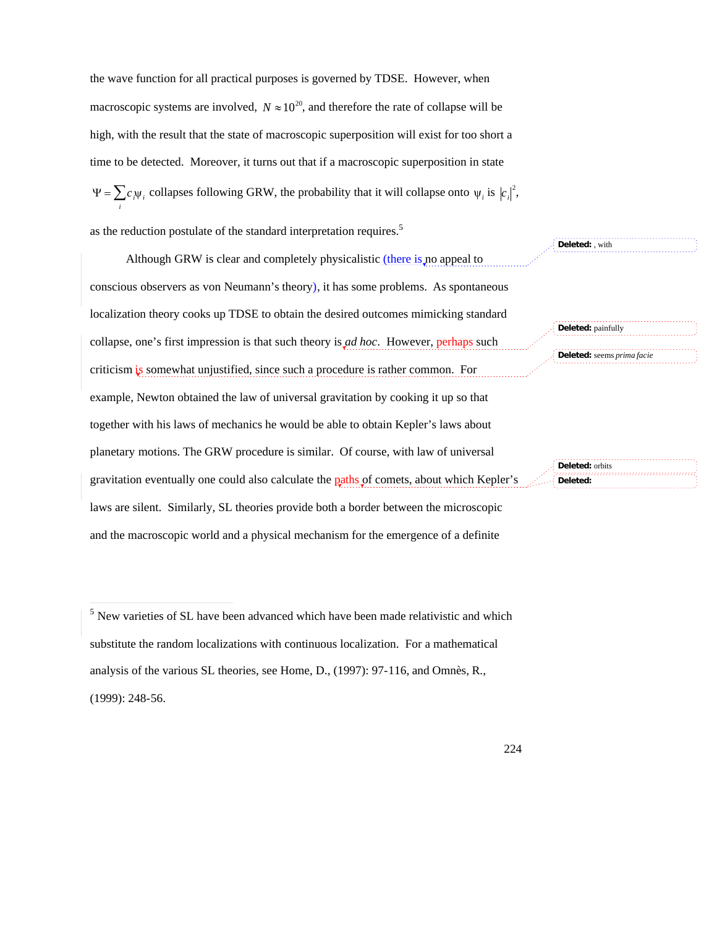the wave function for all practical purposes is governed by TDSE. However, when macroscopic systems are involved,  $N \approx 10^{20}$ , and therefore the rate of collapse will be time to be detected. Moreover, it turns out that if a macroscopic superposition in state high, with the result that the state of macroscopic superposition will exist for too short a  $\Psi = \sum_i c_i \psi_i$  collapses following GRW, the probability that it will collapse onto  $\psi_i$  is  $|c_i|^2$ ,

as the reduction postulate of the standard interpretation requires.<sup>5</sup>

Although GRW is clear and completely physicalistic *(there is no appeal to* conscious observers as von Neumann's theory), it has some problems. As spontaneous localization theory cooks up TDSE to obtain the desired outcomes mimicking standard collapse, one's first impression is that such theory is *ad hoc*. However, perhaps such criticism is somewhat unjustified, since such a procedure is rather common. For example, Newton obtained the law of universal gravitation by cooking it up so that together with his laws of mechanics he would be able to obtain Kepler's laws about planetary motions. The GRW procedure is similar. Of course, with law of universal gravitation eventually one could also calculate the paths of comets, about which Kepler's laws are silent. Similarly, SL theories provide both a border between the microscopic and the macroscopic world and a physical mechanism for the emergence of a definite

-

**Deleted:** painfully **Deleted:** seems *prima facie*

**Deleted:** , with

**Deleted:** orbits **Deleted:** 

<sup>&</sup>lt;sup>5</sup> New varieties of SL have been advanced which have been made relativistic and which substitute the random localizations with continuous localization. For a mathematical analysis of the various SL theories, see Home, D., (1997): 97-116, and Omnès, R., (1999): 248-56.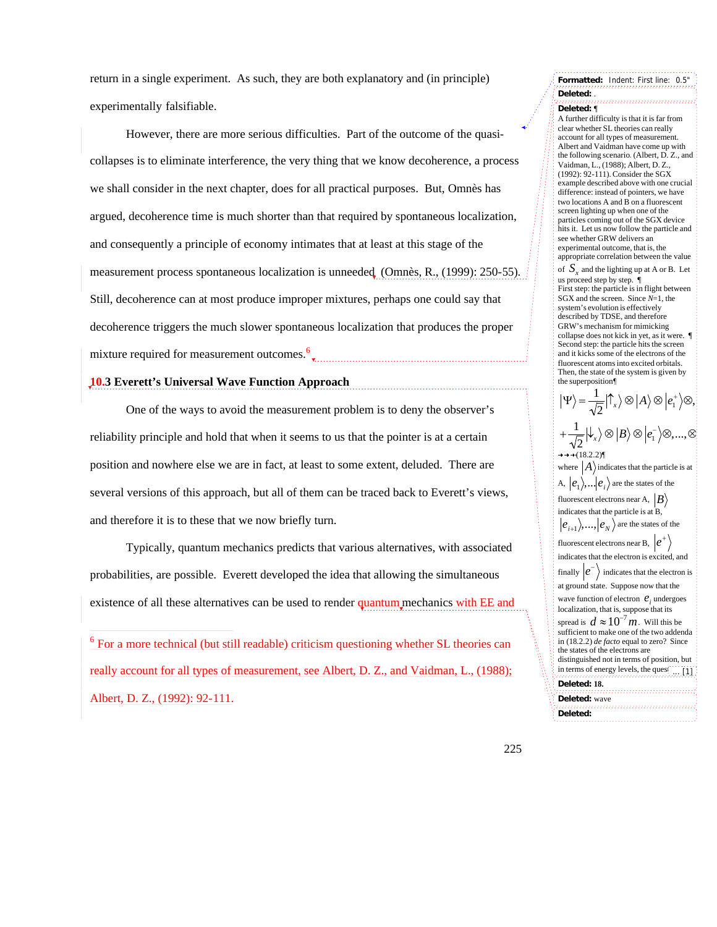return in a single experiment. As such, they are both explanatory and (in principle) experimentally falsifiable.

However, there are more serious difficulties. Part of the outcome of the quasicollapses is to eliminate interference, the very thing that we know decoherence, a process we shall consider in the next chapter, does for all practical purposes. But, Omnès has argued, decoherence time is much shorter than that required by spontaneous localization, and consequently a principle of economy intimates that at least at this stage of the measurement process spontaneous localization is unneeded (Omnès, R., (1999): 250-55). Still, decoherence can at most produce improper mixtures, perhaps one could say that decoherence triggers the much slower spontaneous localization that produces the proper mixture required for measurement outcomes.<sup>6</sup> †

# **10.3 Everett's Universal Wave Function Approach**

-

One of the ways to avoid the measurement problem is to deny the observer's reliability principle and hold that when it seems to us that the pointer is at a certain position and nowhere else we are in fact, at least to some extent, deluded. There are several versions of this approach, but all of them can be traced back to Everett's views, and therefore it is to these that we now briefly turn.

Typically, quantum mechanics predicts that various alternatives, with associated probabilities, are possible. Everett developed the idea that allowing the simultaneous existence of all these alternatives can be used to render quantum mechanics with EE and †

 $6$  For a more technical (but still readable) criticism questioning whether SL theories can really account for all types of measurement, see Albert, D. Z., and Vaidman, L., (1988); Albert, D. Z., (1992): 92-111.

## **Formatted:** Indent: First line: 0.5" **Deleted:** . **Deleted:** ¶

A further difficulty is that it is far from clear whether SL theories can really account for all types of measurement. Albert and Vaidman have come up with the following scenario. (Albert, D. Z., and Vaidman, L., (1988); Albert, D. Z., (1992): 92-111). Consider the SGX example described above with one crucial difference: instead of pointers, we have two locations A and B on a fluorescent screen lighting up when one of the particles coming out of the SGX device hits it. Let us now follow the particle and see whether GRW delivers an experimental outcome, that is, the appropriate correlation between the value of  $S_x$  and the lighting up at A or B. Let us proceed step by step. ¶ First step: the particle is in flight between SGX and the screen. Since *N*=1, the system's evolution is effectively described by TDSE, and therefore GRW's mechanism for mimicking collapse does not kick in yet, as it were. ¶ Second step: the particle hits the screen and it kicks some of the electrons of the fluorescent atoms into excited orbitals. Then, the state of the system is given by the superposition¶  $|\Psi\rangle = \frac{1}{\sqrt{2}} |\hat{\Gamma}_x\rangle \otimes |A\rangle$  $\frac{1}{2}$  $\ket{\uparrow_x}\otimes\ket{A}\otimes\ket{e_1^*\otimes},$  $+\frac{1}{\sqrt{2}}|\downarrow_{x}\rangle\otimes|B\rangle$  $\frac{1}{2}$   $\ket{\downarrow}_x\otimes \ket{B}\otimes \ket{e^-_1}\otimes,...,\otimes$  $(18.2.2)$ where  $|A\rangle$  indicates that the particle is at  $|e_{i+1}\rangle$ ,...,  $|e_N\rangle$  are the states of the A,  $|e_1\rangle$ , ...  $|e_i\rangle$  are the states of the fluorescent electrons near A,  $|B\rangle$   $|B\rangle$ † indicates that the electron is excited, and indicates that the particle is at B, fluorescent electrons near B,  $|e^+\rangle$   $|e^+\rangle$ wave function of electron  $e_i$  undergoes  $+ \sqrt{1}$ finally  $|e^{-}\rangle$  indicates that the electron is spread is  $d \approx 10^{-7} m$ . Will this be<br>sufficient to make one of the two adden at ground state. Suppose now that the the states of the electrons are localization, that is, suppose that its  $\frac{1}{2}$  in terms of energy levels, the question is sufficient to make one of the two addenda in (18.2.2) *de facto* equal to zero? Since distinguished not in terms of position, but **Deleted: 18.** ... [1]

ioa: maro negative, since the distance between and distance between and distance between and distance between and distance

**Deleted:** wave **Deleted:** 

† 1940)<br>1950 – Paris

†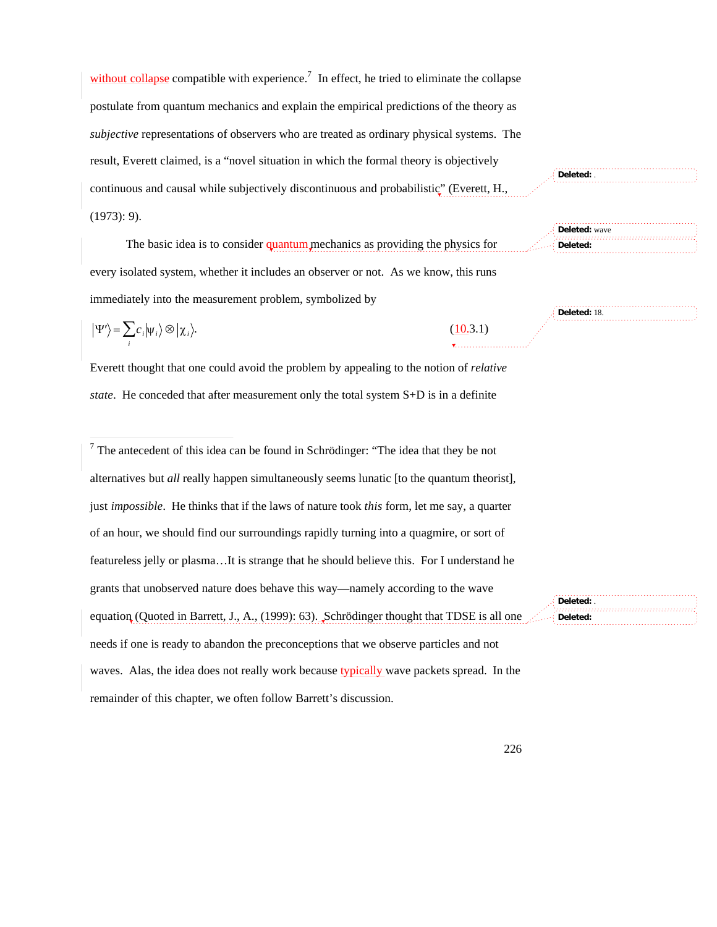without collapse compatible with experience.<sup>7</sup> In effect, he tried to eliminate the collapse postulate from quantum mechanics and explain the empirical predictions of the theory as *subjective* representations of observers who are treated as ordinary physical systems. The result, Everett claimed, is a "novel situation in which the formal theory is objectively continuous and causal while subjectively discontinuous and probabilistic" (Everett, H., (1973): 9).

The basic idea is to consider quantum mechanics as providing the physics for every isolated system, whether it includes an observer or not. As we know, this runs immediately into the measurement problem, symbolized by

$$
|\Psi'\rangle = \sum_{i} c_i |\psi_i\rangle \otimes |\chi_i\rangle.
$$
 (10.3.1)

Everett thought that one could avoid the problem by appealing to the notion of *relative state*. He conceded that after measurement only the total system S+D is in a definite

 $\overline{7}$  The antecedent of this idea can be found in Schrödinger: "The idea that they be not alternatives but *all* really happen simultaneously seems lunatic [to the quantum theorist], just *impossible*. He thinks that if the laws of nature took *this* form, let me say, a quarter of an hour, we should find our surroundings rapidly turning into a quagmire, or sort of featureless jelly or plasma…It is strange that he should believe this. For I understand he grants that unobserved nature does behave this way—namely according to the wave equation (Quoted in Barrett, J., A., (1999): 63). Schrödinger thought that TDSE is all one needs if one is ready to abandon the preconceptions that we observe particles and not waves. Alas, the idea does not really work because typically wave packets spread. In the remainder of this chapter, we often follow Barrett's discussion.

**Deleted:** .

**Deleted:** wave **Deleted:** 

**Deleted:** 18.

**Deleted:** . **Deleted:**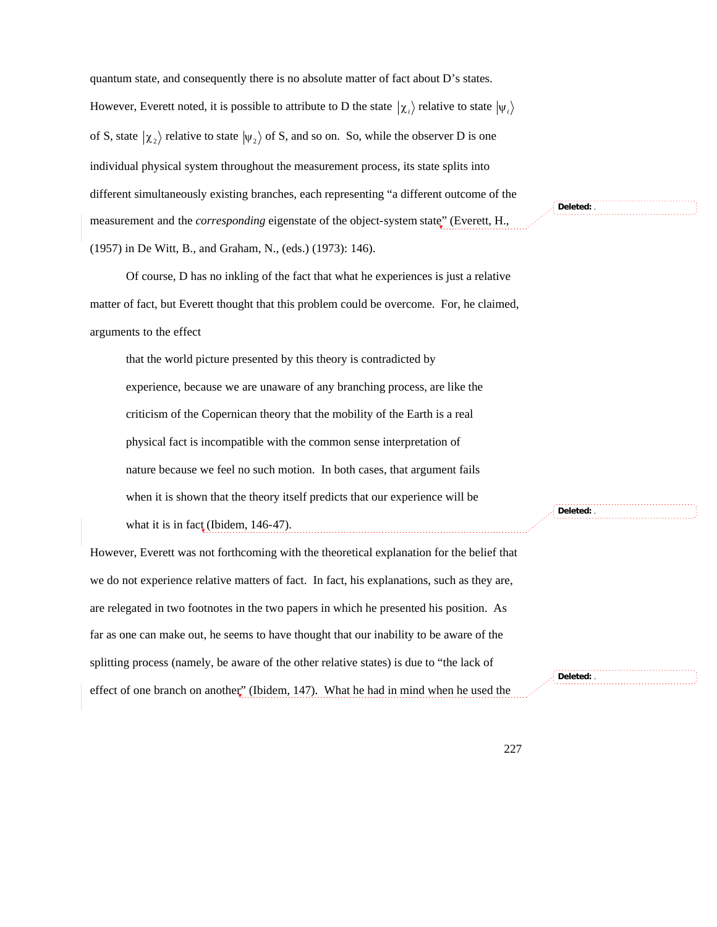quantum state, and consequently there is no absolute matter of fact about D's states. However, Everett noted, it is possible to attribute to D the state  $|\chi_i\rangle$  relative to state  $|\psi_i\rangle$ † † individual physical system throughout the measurement process, its state splits into of S, state  $\ket{\chi_2}$  relative to state  $\ket{\psi_2}$  of S, and so on. So, while the observer D is one different simultaneously existing branches, each representing "a different outcome of the measurement and the *corresponding* eigenstate of the object-system state" (Everett, H., (1957) in De Witt, B., and Graham, N., (eds.) (1973): 146).

Of course, D has no inkling of the fact that what he experiences is just a relative matter of fact, but Everett thought that this problem could be overcome. For, he claimed, arguments to the effect

that the world picture presented by this theory is contradicted by experience, because we are unaware of any branching process, are like the criticism of the Copernican theory that the mobility of the Earth is a real physical fact is incompatible with the common sense interpretation of nature because we feel no such motion. In both cases, that argument fails when it is shown that the theory itself predicts that our experience will be what it is in fact (Ibidem,  $146-47$ ).

However, Everett was not forthcoming with the theoretical explanation for the belief that we do not experience relative matters of fact. In fact, his explanations, such as they are, are relegated in two footnotes in the two papers in which he presented his position. As far as one can make out, he seems to have thought that our inability to be aware of the splitting process (namely, be aware of the other relative states) is due to "the lack of effect of one branch on another" (Ibidem, 147). What he had in mind when he used the

**Deleted:** .

**Deleted:** .

**Deleted:** .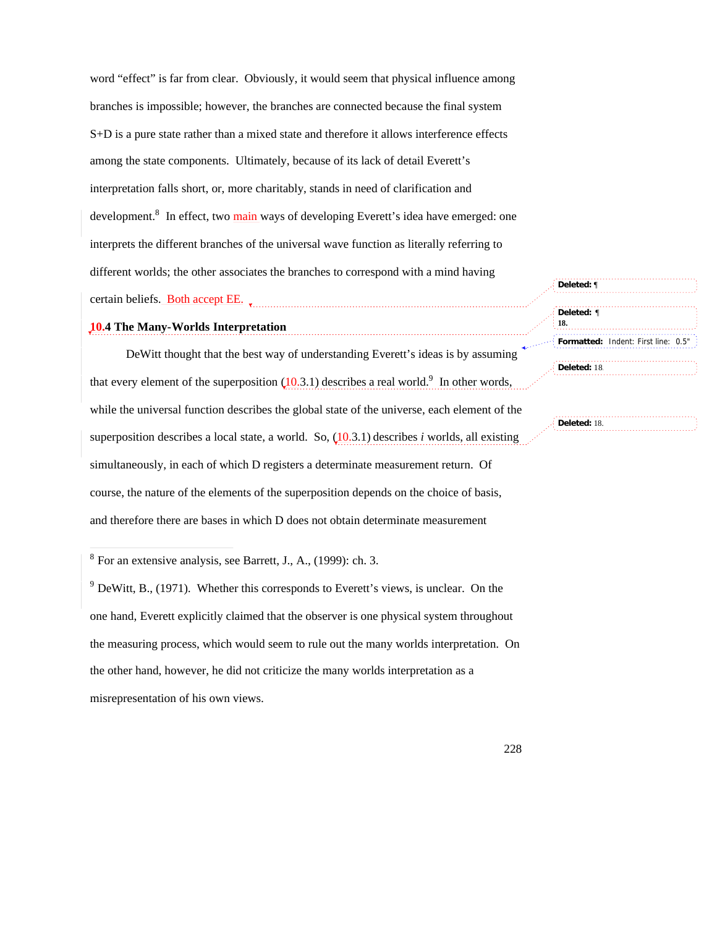word "effect" is far from clear. Obviously, it would seem that physical influence among branches is impossible; however, the branches are connected because the final system S+D is a pure state rather than a mixed state and therefore it allows interference effects among the state components. Ultimately, because of its lack of detail Everett's interpretation falls short, or, more charitably, stands in need of clarification and development.<sup>8</sup> In effect, two main ways of developing Everett's idea have emerged: one interprets the different branches of the universal wave function as literally referring to different worlds; the other associates the branches to correspond with a mind having certain beliefs. Both accept EE.

**10.4 The Many-Worlds Interpretation**

DeWitt thought that the best way of understanding Everett's ideas is by assuming that every element of the superposition  $(10.3.1)$  describes a real world.<sup>9</sup> In other words, while the universal function describes the global state of the universe, each element of the superposition describes a local state, a world. So,  $(10.3.1)$  describes *i* worlds, all existing simultaneously, in each of which D registers a determinate measurement return. Of course, the nature of the elements of the superposition depends on the choice of basis, and therefore there are bases in which D does not obtain determinate measurement

<sup>8</sup> For an extensive analysis, see Barrett, J., A., (1999): ch. 3.

 $9$  DeWitt, B., (1971). Whether this corresponds to Everett's views, is unclear. On the one hand, Everett explicitly claimed that the observer is one physical system throughout the measuring process, which would seem to rule out the many worlds interpretation. On the other hand, however, he did not criticize the many worlds interpretation as a misrepresentation of his own views.

| $\frac{1}{2}$ Deleted: ¶<br>18. |                                     |
|---------------------------------|-------------------------------------|
|                                 | Formatted: Indent: First line: 0.5" |

**Deleted:** 18.

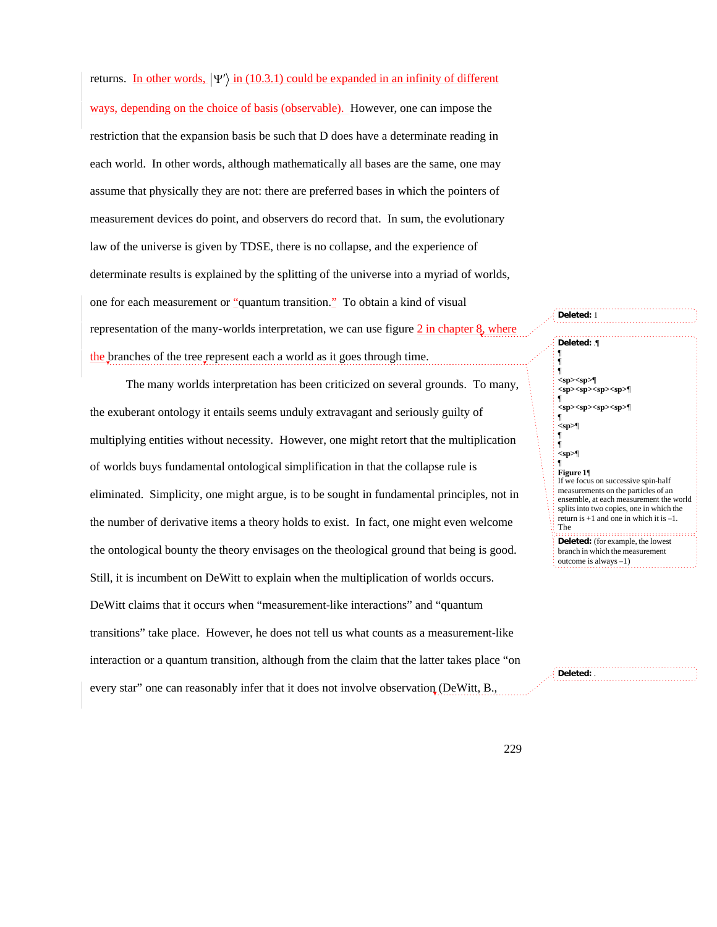returns. In other words,  $|\Psi'\rangle$  in (10.3.1) could be expanded in an infinity of different restriction that the expansion basis be such that D does have a determinate reading in ways, depending on the choice of basis (observable). However, one can impose the each world. In other words, although mathematically all bases are the same, one may assume that physically they are not: there are preferred bases in which the pointers of measurement devices do point, and observers do record that. In sum, the evolutionary law of the universe is given by TDSE, there is no collapse, and the experience of determinate results is explained by the splitting of the universe into a myriad of worlds, one for each measurement or "quantum transition." To obtain a kind of visual representation of the many-worlds interpretation, we can use figure 2 in chapter 8, where the branches of the tree represent each a world as it goes through time.

The many worlds interpretation has been criticized on several grounds. To many, the exuberant ontology it entails seems unduly extravagant and seriously guilty of multiplying entities without necessity. However, one might retort that the multiplication of worlds buys fundamental ontological simplification in that the collapse rule is eliminated. Simplicity, one might argue, is to be sought in fundamental principles, not in the number of derivative items a theory holds to exist. In fact, one might even welcome the ontological bounty the theory envisages on the theological ground that being is good. Still, it is incumbent on DeWitt to explain when the multiplication of worlds occurs. DeWitt claims that it occurs when "measurement-like interactions" and "quantum transitions" take place. However, he does not tell us what counts as a measurement-like interaction or a quantum transition, although from the claim that the latter takes place "on every star" one can reasonably infer that it does not involve observation (DeWitt, B.,

**Deleted:** 1 **Deleted:** .¶ ¶ ¶ ¶ **<sp><sp>**¶ **<sp><sp><sp><sp>**¶ ¶ **<sp><sp><sp><sp>**¶ ¶ **<sp>**¶ ¶ ¶ **<sp>**¶ ¶ **Figure 1**¶ If we focus on successive spin-half measurements on the particles of an ensemble, at each measurement the world splits into two copies, one in which the return is +1 and one in which it is –1. The **Deleted:** (for example, the lowest branch in which the measurement outcome is always –1)

**Deleted:** .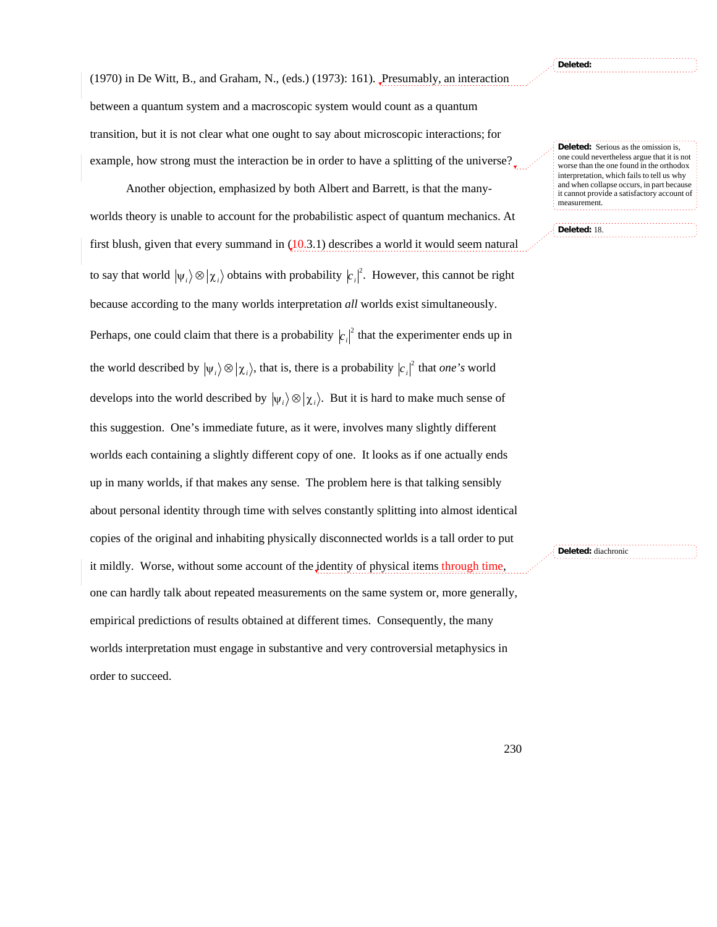**Deleted:** 

**Deleted:** 18.

(1970) in De Witt, B., and Graham, N., (eds.) (1973): 161). Presumably, an interaction between a quantum system and a macroscopic system would count as a quantum transition, but it is not clear what one ought to say about microscopic interactions; for example, how strong must the interaction be in order to have a splitting of the universe?

Another objection, emphasized by both Albert and Barrett, is that the manyworlds theory is unable to account for the probabilistic aspect of quantum mechanics. At first blush, given that every summand in  $(10.3.1)$  describes a world it would seem natural to say that world  $|\psi_i\rangle \otimes |\chi_i\rangle$  obtains with probability  $|c_i|^2$ . However, this cannot be right Perhaps, one could claim that there is a probability  $|c_i|^2$  that the experimenter ends up in because according to the many worlds interpretation *all* worlds exist simultaneously. develops into the world described by  $|\psi_i\rangle \otimes |\chi_i\rangle$ . But it is hard to make much sense of the world described by  $|\psi_i\rangle \otimes |\chi_i\rangle$ , that is, there is a probability  $|c_i|^2$  that *one's* world this suggestion. One's immediate future, as it were, involves many slightly different worlds each containing a slightly different copy of one. It looks as if one actually ends up in many worlds, if that makes any sense. The problem here is that talking sensibly about personal identity through time with selves constantly splitting into almost identical copies of the original and inhabiting physically disconnected worlds is a tall order to put it mildly. Worse, without some account of the *j*dentity of physical items through time, one can hardly talk about repeated measurements on the same system or, more generally, empirical predictions of results obtained at different times. Consequently, the many worlds interpretation must engage in substantive and very controversial metaphysics in order to succeed.

**Deleted:** Serious as the omission is, one could nevertheless argue that it is not worse than the one found in the orthodox interpretation, which fails to tell us why and when collapse occurs, in part because it cannot provide a satisfactory account of measurement.

**Deleted:** diachronic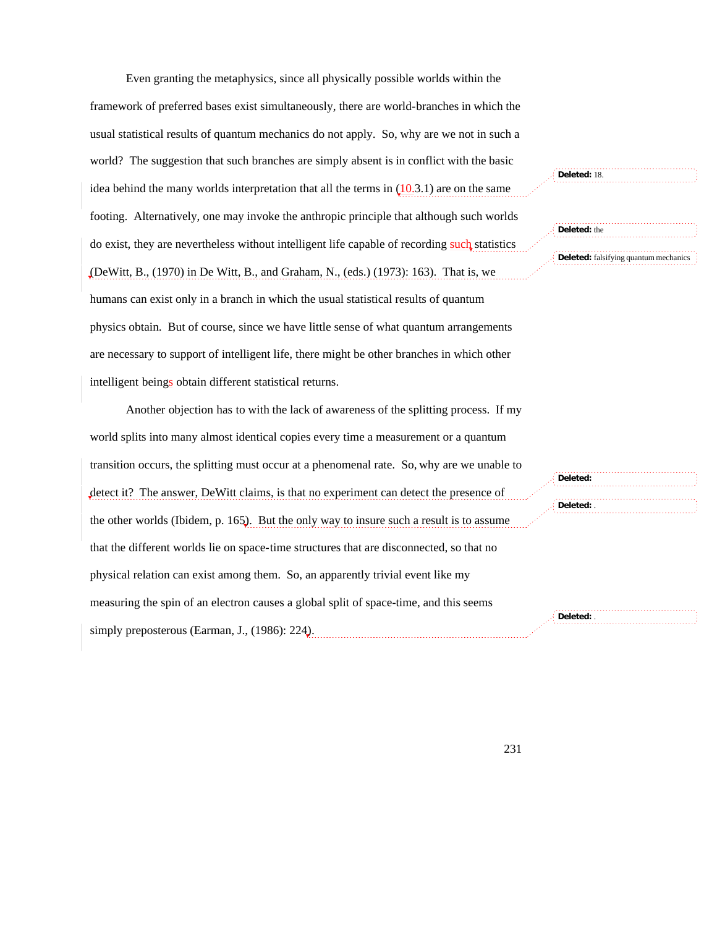Even granting the metaphysics, since all physically possible worlds within the framework of preferred bases exist simultaneously, there are world-branches in which the usual statistical results of quantum mechanics do not apply. So, why are we not in such a world? The suggestion that such branches are simply absent is in conflict with the basic idea behind the many worlds interpretation that all the terms in  $(10.3.1)$  are on the same footing. Alternatively, one may invoke the anthropic principle that although such worlds do exist, they are nevertheless without intelligent life capable of recording such statistics (DeWitt, B., (1970) in De Witt, B., and Graham, N., (eds.) (1973): 163). That is, we

humans can exist only in a branch in which the usual statistical results of quantum physics obtain. But of course, since we have little sense of what quantum arrangements are necessary to support of intelligent life, there might be other branches in which other intelligent beings obtain different statistical returns.

Another objection has to with the lack of awareness of the splitting process. If my world splits into many almost identical copies every time a measurement or a quantum transition occurs, the splitting must occur at a phenomenal rate. So, why are we unable to detect it? The answer, DeWitt claims, is that no experiment can detect the presence of the other worlds (Ibidem, p. 165). But the only way to insure such a result is to assume that the different worlds lie on space-time structures that are disconnected, so that no physical relation can exist among them. So, an apparently trivial event like my measuring the spin of an electron causes a global split of space-time, and this seems simply preposterous (Earman, J., (1986): 224). **Deleted:** . **Deleted:** .

**Deleted:** 

**Deleted:** falsifying quantum mechanics

**Deleted:** 18.

**Deleted:** the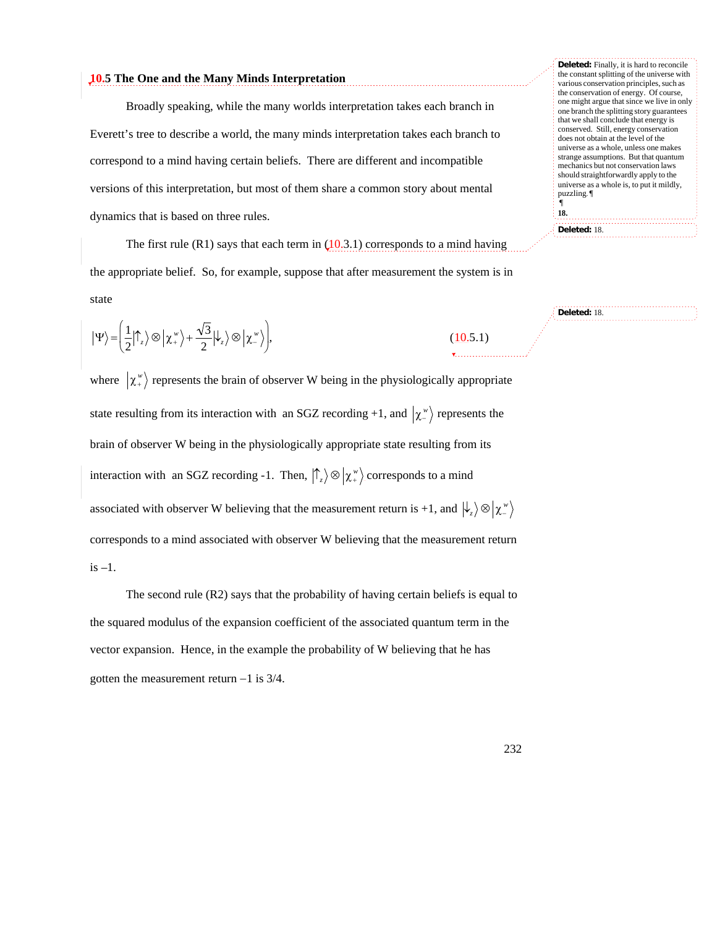# **10.5 The One and the Many Minds Interpretation**

Broadly speaking, while the many worlds interpretation takes each branch in Everett's tree to describe a world, the many minds interpretation takes each branch to correspond to a mind having certain beliefs. There are different and incompatible versions of this interpretation, but most of them share a common story about mental dynamics that is based on three rules.

The first rule (R1) says that each term in  $(10.3.1)$  corresponds to a mind having the appropriate belief. So, for example, suppose that after measurement the system is in state

$$
|\Psi\rangle = \left(\frac{1}{2}|\uparrow_z\rangle \otimes |\chi^{\scriptscriptstyle{w}}_+\rangle + \frac{\sqrt{3}}{2}|\psi_z\rangle \otimes |\chi^{\scriptscriptstyle{w}}_-\rangle\right),\tag{10.5.1}
$$

where  $\chi^*$  represents the brain of observer W being in the physiologically appropriate † brain of observer W being in the physiologically appropriate state resulting from its state resulting from its interaction with an SGZ recording +1, and  $\langle \chi^{\nu} \rangle$  represents the interaction with an SGZ recording -1. Then,  $\left| \uparrow_z \right> \otimes \left| \chi^*_{\perp} \right>$  corresponds to a mind † corresponds to a mind associated with observer W believing that the measurement return associated with observer W believing that the measurement return is +1, and  $\ket{\downarrow_z}\otimes\ket{\chi_z^{\scriptscriptstyle w}}$  $is -1.$ 

The second rule (R2) says that the probability of having certain beliefs is equal to the squared modulus of the expansion coefficient of the associated quantum term in the vector expansion. Hence, in the example the probability of W believing that he has gotten the measurement return  $-1$  is 3/4.

**Deleted:** Finally, it is hard to reconcile the constant splitting of the universe with various conservation principles, such as the conservation of energy. Of course, one might argue that since we live in only one branch the splitting story guarantees that we shall conclude that energy is conserved. Still, energy conservation does not obtain at the level of the universe as a whole, unless one makes strange assumptions. But that quantum mechanics but not conservation laws should straightforwardly apply to the universe as a whole is, to put it mildly, puzzling. ¶ ¶ **18.**

**Deleted:** 18.

**Deleted:** 18.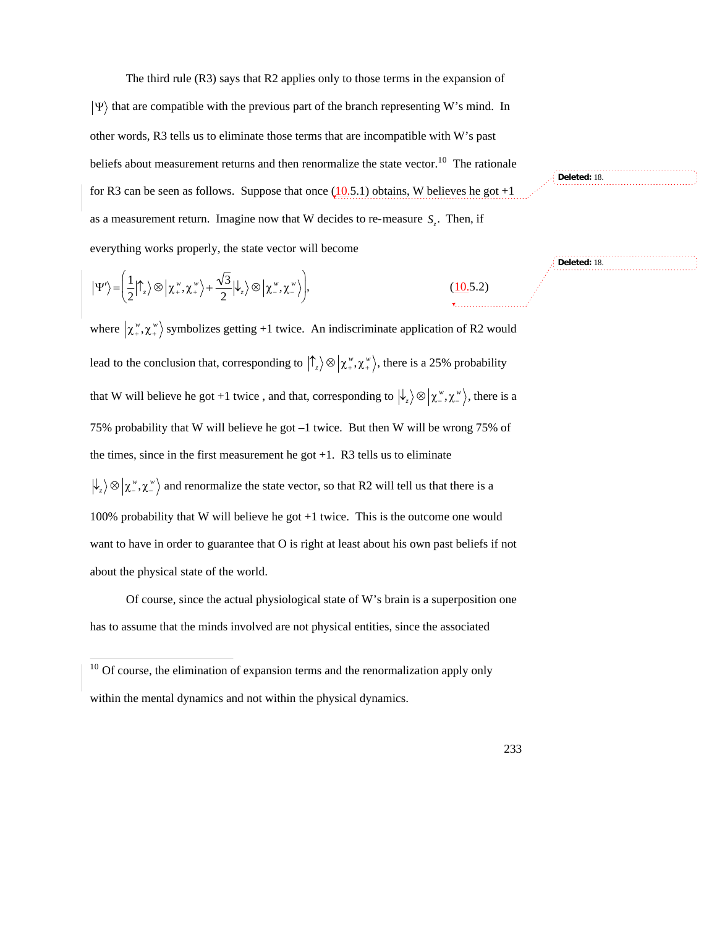The third rule (R3) says that R2 applies only to those terms in the expansion of

 $|\Psi\rangle$  that are compatible with the previous part of the branch representing W's mind. In other words, R3 tells us to eliminate those terms that are incompatible with W's past beliefs about measurement returns and then renormalize the state vector.<sup>10</sup> The rationale for R3 can be seen as follows. Suppose that once  $(10.5.1)$  obtains, W believes he got +1 as a measurement return. Imagine now that W decides to re-measure *S<sup>z</sup>* . Then, if everything works properly, the state vector will become

$$
|\Psi'\rangle = \left(\frac{1}{2}|\uparrow_z\rangle \otimes \left|\chi^{\,\nu}_+, \chi^{\,\nu}_+\right\rangle + \frac{\sqrt{3}}{2}|\downarrow_z\rangle \otimes \left|\chi^{\,\nu}_-, \chi^{\,\nu}_-\right\rangle\right),\tag{10.5.2}
$$

where  $\langle \chi^{\nu}, \chi^{\nu} \rangle$  symbolizes getting +1 twice. An indiscriminate application of R2 would lead to the conclusion that, corresponding to  $\left| \int_z \right> \otimes \left| \chi^*_{+}, \chi^*_{+} \right>$ , there is a 25% probability  $\mathbf{L}^{\text{eff}}$ that W will believe he got +1 twice, and that, corresponding to  $\ket{\psi_z}\otimes\ket{\chi''_-, \chi''_+}$ , there is a the times, since in the first measurement he got  $+1$ . R3 tells us to eliminate 75% probability that W will believe he got –1 twice. But then W will be wrong 75% of  $\ket{\psi_z}\otimes\ket{\chi''_-, \chi''_+}$  and renormalize the state vector, so that R2 will tell us that there is a 100% probability that W will believe he got +1 twice. This is the outcome one would want to have in order to guarantee that O is right at least about his own past beliefs if not about the physical state of the world.

Of course, since the actual physiological state of W's brain is a superposition one has to assume that the minds involved are not physical entities, since the associated

 $10$  Of course, the elimination of expansion terms and the renormalization apply only within the mental dynamics and not within the physical dynamics.

 $\overline{1}$ 

**Deleted:** 18.

**Deleted:** 18.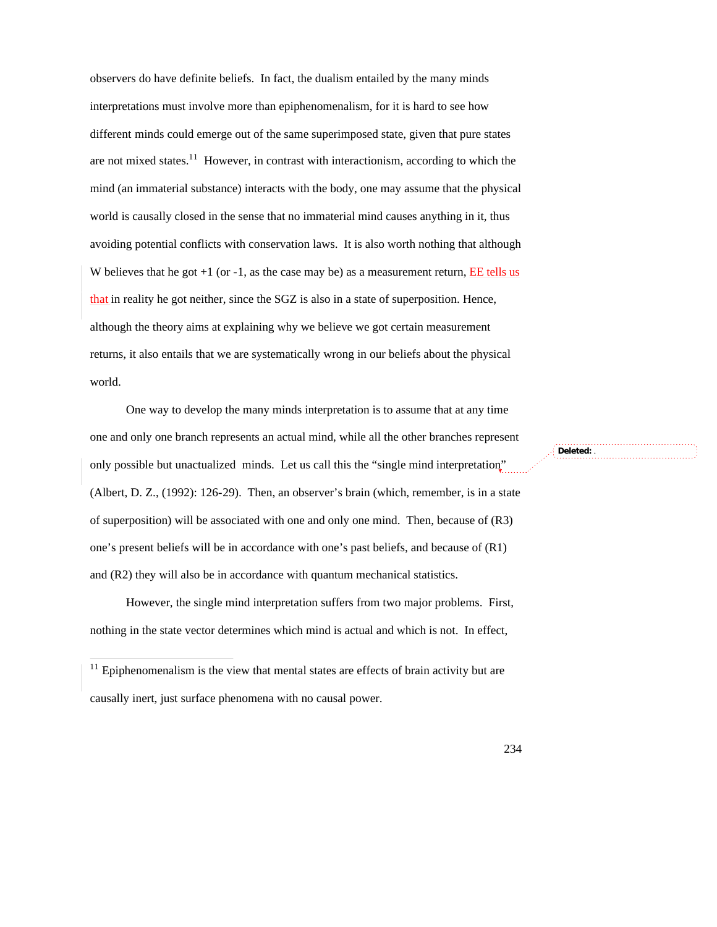observers do have definite beliefs. In fact, the dualism entailed by the many minds interpretations must involve more than epiphenomenalism, for it is hard to see how different minds could emerge out of the same superimposed state, given that pure states are not mixed states.<sup>11</sup> However, in contrast with interactionism, according to which the mind (an immaterial substance) interacts with the body, one may assume that the physical world is causally closed in the sense that no immaterial mind causes anything in it, thus avoiding potential conflicts with conservation laws. It is also worth nothing that although W believes that he got  $+1$  (or  $-1$ , as the case may be) as a measurement return, EE tells us that in reality he got neither, since the SGZ is also in a state of superposition. Hence, although the theory aims at explaining why we believe we got certain measurement returns, it also entails that we are systematically wrong in our beliefs about the physical world.

One way to develop the many minds interpretation is to assume that at any time one and only one branch represents an actual mind, while all the other branches represent only possible but unactualized minds. Let us call this the "single mind interpretation" (Albert, D. Z., (1992): 126-29). Then, an observer's brain (which, remember, is in a state of superposition) will be associated with one and only one mind. Then, because of (R3) one's present beliefs will be in accordance with one's past beliefs, and because of (R1) and (R2) they will also be in accordance with quantum mechanical statistics.

However, the single mind interpretation suffers from two major problems. First, nothing in the state vector determines which mind is actual and which is not. In effect,

 $11$  Epiphenomenalism is the view that mental states are effects of brain activity but are causally inert, just surface phenomena with no causal power.

 $\overline{1}$ 

**Deleted:** .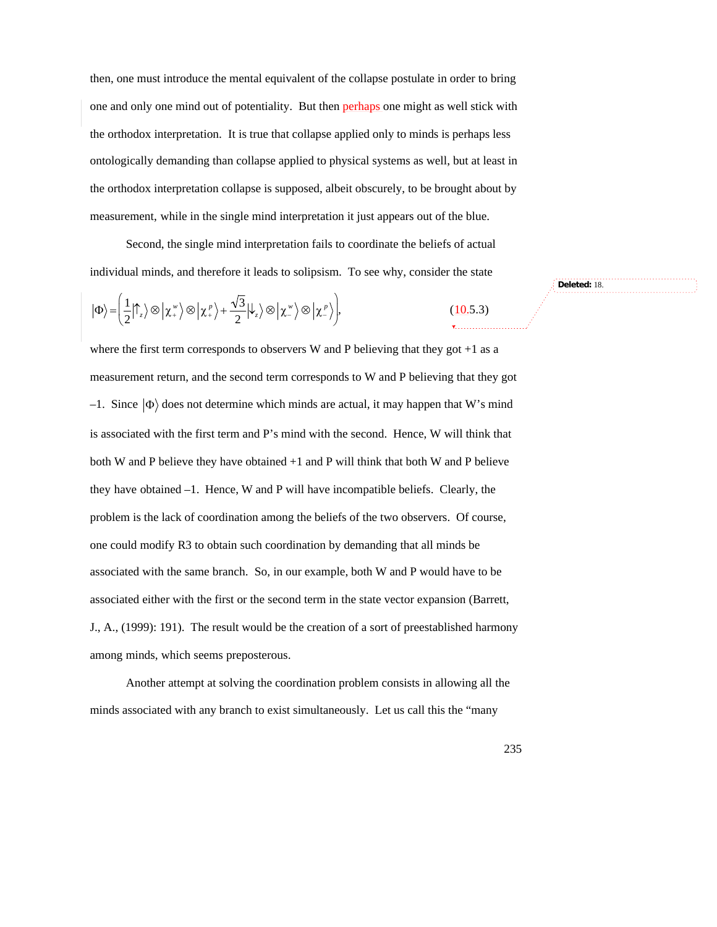then, one must introduce the mental equivalent of the collapse postulate in order to bring one and only one mind out of potentiality. But then perhaps one might as well stick with the orthodox interpretation. It is true that collapse applied only to minds is perhaps less ontologically demanding than collapse applied to physical systems as well, but at least in the orthodox interpretation collapse is supposed, albeit obscurely, to be brought about by measurement, while in the single mind interpretation it just appears out of the blue.

Second, the single mind interpretation fails to coordinate the beliefs of actual individual minds, and therefore it leads to solipsism. To see why, consider the state

$$
|\Phi\rangle = \left(\frac{1}{2}|\uparrow_z\rangle \otimes |\chi_z^{\nu}\rangle \otimes |\chi_z^{\rho}\rangle + \frac{\sqrt{3}}{2}|\psi_z\rangle \otimes |\chi_z^{\nu}\rangle \otimes |\chi_z^{\rho}\rangle\right),
$$

where the first term corresponds to observers W and P believing that they got  $+1$  as a measurement return, and the second term corresponds to W and P believing that they got  $-1$ . Since  $|\Phi\rangle$  does not determine which minds are actual, it may happen that W's mind both W and P believe they have obtained +1 and P will think that both W and P believe is associated with the first term and P's mind with the second. Hence, W will think that they have obtained –1. Hence, W and P will have incompatible beliefs. Clearly, the problem is the lack of coordination among the beliefs of the two observers. Of course, one could modify R3 to obtain such coordination by demanding that all minds be associated with the same branch. So, in our example, both W and P would have to be associated either with the first or the second term in the state vector expansion (Barrett, J., A., (1999): 191). The result would be the creation of a sort of preestablished harmony among minds, which seems preposterous.

Another attempt at solving the coordination problem consists in allowing all the minds associated with any branch to exist simultaneously. Let us call this the "many

**Deleted:** 18.

 $(10.5.3)$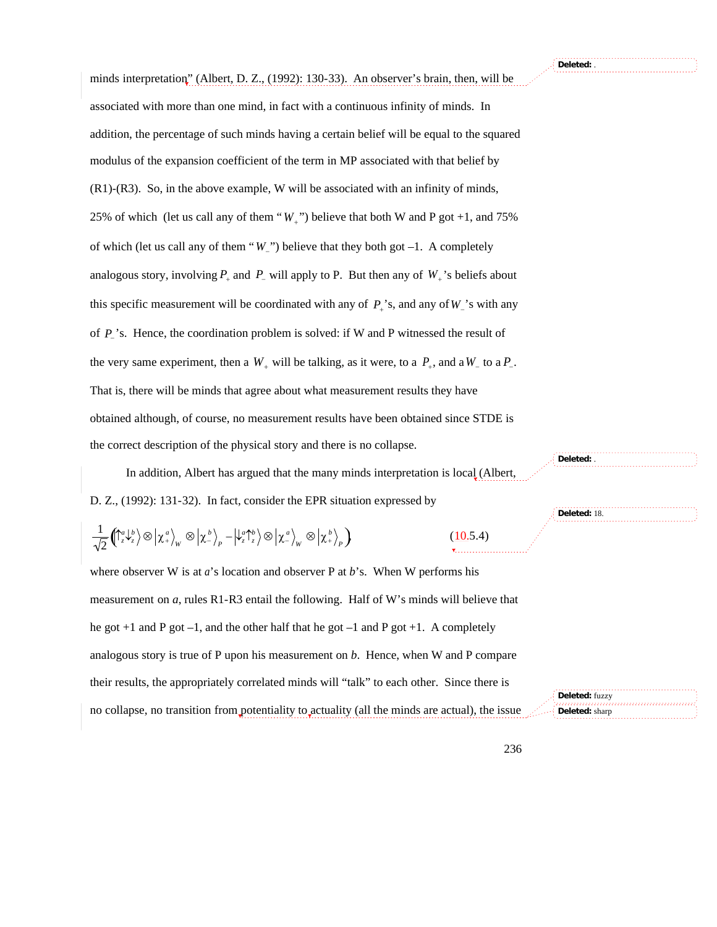minds interpretation" (Albert, D. Z., (1992): 130-33). An observer's brain, then, will be associated with more than one mind, in fact with a continuous infinity of minds. In addition, the percentage of such minds having a certain belief will be equal to the squared modulus of the expansion coefficient of the term in MP associated with that belief by (R1)-(R3). So, in the above example, W will be associated with an infinity of minds, 25% of which (let us call any of them " $W_+$ ") believe that both W and P got +1, and 75% analogous story, involving  $P_+$  and  $P_-$  will apply to P. But then any of  $W_+$ 's beliefs about of which (let us call any of them " $W_{\perp}$ ") believe that they both got  $-1$ . A completely this specific measurement will be coordinated with any of  $P_+$ 's, and any of  $W_-$ 's with any of  $P_{\perp}$ 's. Hence, the coordination problem is solved: if W and P witnessed the result of the very same experiment, then a  $W_+$  will be talking, as it were, to a  $P_+$ , and a  $W_-$  to a  $P_-$ . obtained although, of course, no measurement results have been obtained since STDE is That is, there will be minds that agree about what measurement results they have the correct description of the physical story and there is no collapse.

In addition, Albert has argued that the many minds interpretation is local (Albert, D. Z., (1992): 131-32). In fact, consider the EPR situation expressed by

$$
\frac{1}{\sqrt{2}} \left( \int_{z}^{a} \psi_{z}^{b} \right) \otimes \left| \chi_{+}^{a} \right\rangle_{W} \otimes \left| \chi_{-}^{b} \right\rangle_{P} - \left| \psi_{z}^{a} \right\rangle_{V}^{b} \otimes \left| \chi_{-}^{a} \right\rangle_{W} \otimes \left| \chi_{+}^{b} \right\rangle_{P} \right)
$$
\n(10.5.4)

where observer W is at *a*'s location and observer P at *b*'s. When W performs his measurement on *a*, rules R1-R3 entail the following. Half of W's minds will believe that he got  $+1$  and P got  $-1$ , and the other half that he got  $-1$  and P got  $+1$ . A completely analogous story is true of P upon his measurement on *b*. Hence, when W and P compare their results, the appropriately correlated minds will "talk" to each other. Since there is no collapse, no transition from potentiality to actuality (all the minds are actual), the issue **Deleted:** fuzzy **Deleted:** sharp

**Deleted:** 18.

**Deleted:** .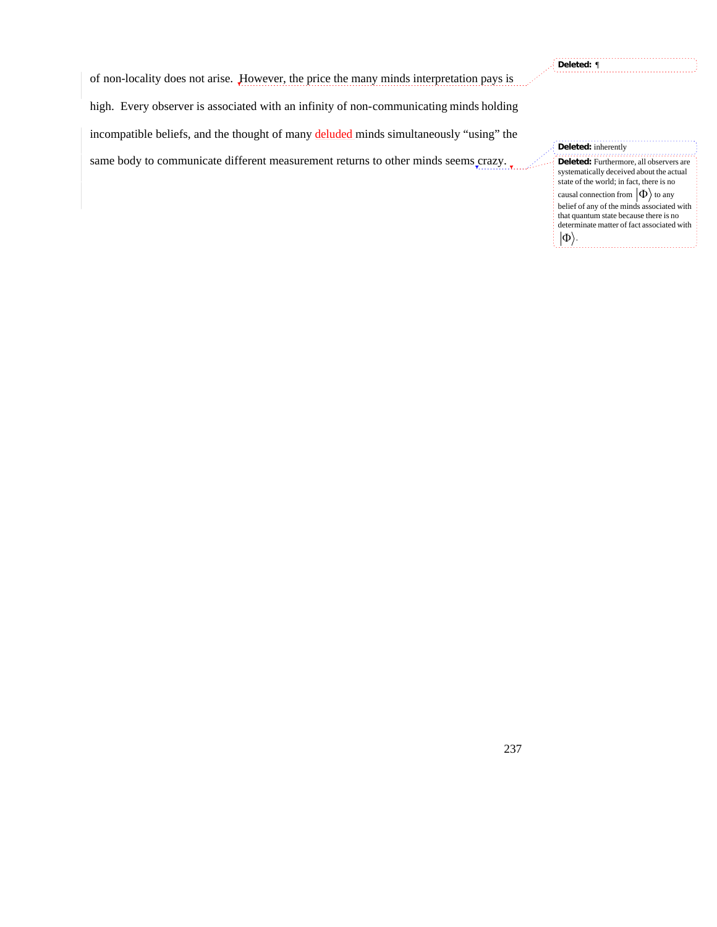**Deleted:** ¶

of non-locality does not arise. However, the price the many minds interpretation pays is

high. Every observer is associated with an infinity of non-communicating minds holding

incompatible beliefs, and the thought of many deluded minds simultaneously "using" the

same body to communicate different measurement returns to other minds seems crazy.

**Deleted:** inherently **Deleted:** Furthermore, all observers are systematically deceived about the actual state of the world; in fact, there is no causal connection from  $|\Phi\rangle$  to any . . . . . . . . . . . . . belief of any of the minds associated with that quantum state because there is no determinate matter of fact associated with  $\ket{\Phi}$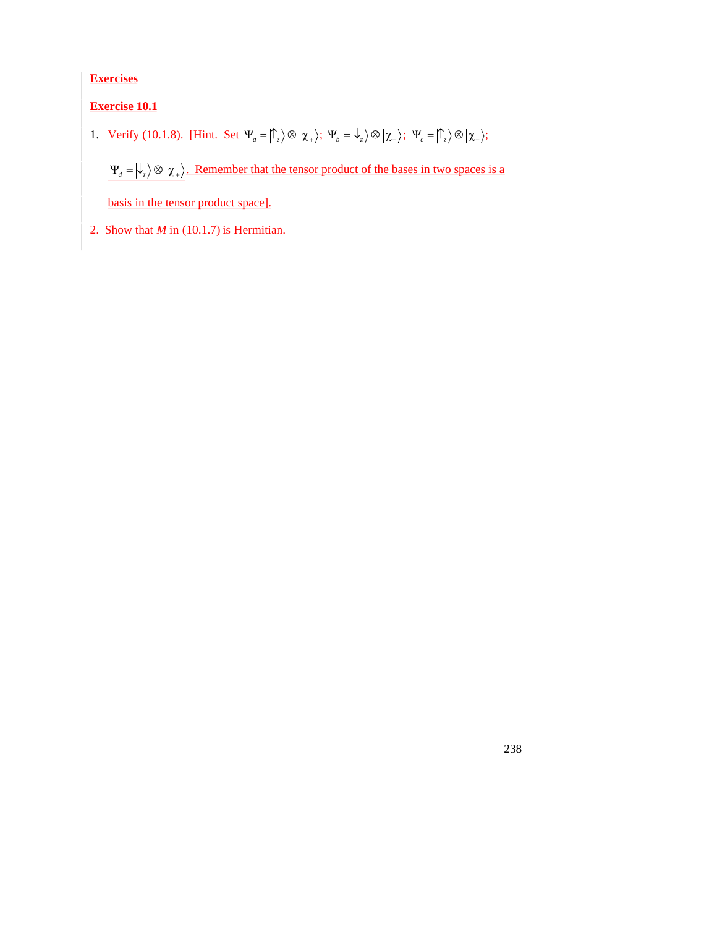**Exercises**

**Exercise 10.1**

1. <u>Verify (10.1.8). [Hint. Set</u>  $\Psi_a = \int_{-\infty}^{\infty} \int \otimes \left| \chi_+ \right\rangle$ ,  $\Psi_b = \left| \psi_z \right\rangle \otimes \left| \chi_- \right\rangle$ ,  $\Psi_c = \left| \hat{\psi}_z \right\rangle \otimes \left| \chi_- \right\rangle$ ,

 $\Psi_d = \psi_z \otimes \chi_+$ . Remember that the tensor product of the bases in two spaces is a

238

basis in the tensor product space].

2. Show that  $M$  in (10.1.7) is Hermitian.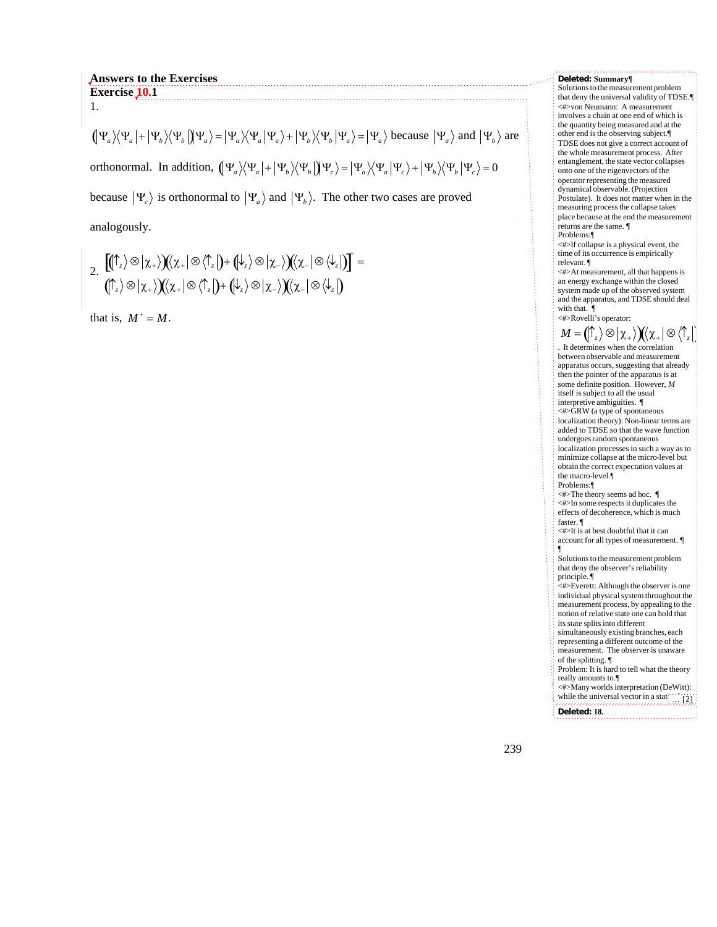## **Answers to the Exercises Exercise**<sub>10.1</sub> 1.

 $(\Psi_a)(\Psi_a|+|\Psi_b)(\Psi_b|)\Psi_a\rangle=|\Psi_a\rangle\langle\Psi_a|\Psi_a\rangle+|\Psi_b\rangle\langle\Psi_b|\Psi_a\rangle=|\Psi_a\rangle$  because  $|\Psi_a\rangle$  and  $|\Psi_b\rangle$  are orthonormal. In addition,  $(\Psi_a)(\Psi_a | + |\Psi_b \rangle \langle \Psi_b |) \Psi_c \rangle = |\Psi_a \rangle \langle \Psi_a | \Psi_c \rangle + |\Psi_b \rangle \langle \Psi_b | \Psi_c \rangle = 0$ 

because  $|\Psi_e\rangle$  is orthonormal to  $|\Psi_a\rangle$  and  $|\Psi_b\rangle$ . The other two cases are proved

analogously.

2. 
$$
\left[ (\uparrow_z) \otimes \upharpoonright x_+) \right] (\chi_+ \otimes \langle \uparrow_z \upharpoonright) + (\downarrow_z) \otimes \upharpoonright \chi_-) \left( \chi_- \otimes \langle \downarrow_z \upharpoonright) \right]^+ =
$$

$$
(\uparrow_z) \otimes \upharpoonright x_+) \left( \chi_+ \otimes \langle \uparrow_z \upharpoonright) + (\downarrow_z) \otimes \upharpoonright x_-) \left( \chi_- \otimes \langle \downarrow_z \upharpoonright) =
$$

that is,  $M^+ = M$ .

## **Deleted: Summary¶**

Solutions to the measurement problem that deny the universal validity of TDSE.¶ <#>von Neumann: A measurement involves a chain at one end of which is the quantity being measured and at the other end is the observing subject.¶ TDSE does not give a correct account of the whole measurement process. After entanglement, the state vector collapses onto one of the eigenvectors of the operator representing the measured dynamical observable. (Projection Postulate). It does not matter when in the measuring process the collapse takes place because at the end the measurement returns are the same. ¶ Problems:¶

<#>If collapse is a physical event, the time of its occurrence is empirically relevant. ¶

<#>At measurement, all that happens is an energy exchange within the closed system made up of the observed system and the apparatus, and TDSE should deal with that.

### <#>Rovelli's operator:

†

 $M = (\uparrow_{z}) \otimes |\chi_{+}\rangle)(\chi_{+} | \otimes \langle \uparrow_{z}|)$ . It determines when the correlation between observable and measurement apparatus occurs, suggesting that already then the pointer of the apparatus is at some definite position. However, *M* itself is subject to all the usual interpretive ambiguities. ¶ <#>GRW (a type of spontaneous localization theory): Non-linear terms are added to TDSE so that the wave function undergoes random spontaneous localization processes in such a way as to minimize collapse at the micro-level but obtain the correct expectation values at the macro-level.¶ Problems:¶ <#>The theory seems ad hoc. ¶ <#>In some respects it duplicates the effects of decoherence, which is much faster. ¶ <#>It is at best doubtful that it can account for all types of measurement. ¶ ¶ Solutions to the measurement problem that deny the observer's reliability principle. ¶ <#>Everett: Although the observer is one individual physical system throughout the measurement process, by appealing to the notion of relative state one can hold that its state splits into different simultaneously existing branches, each representing a different outcome of the measurement. The observer is unaware of the splitting. ¶ Problem: It is hard to tell what the theory really amounts to.¶ <#>Many worlds interpretation (DeWitt): while the universal vector in a stati superposition describes the global state of the universe, at every measurement or **Deleted: 18.** ... [2]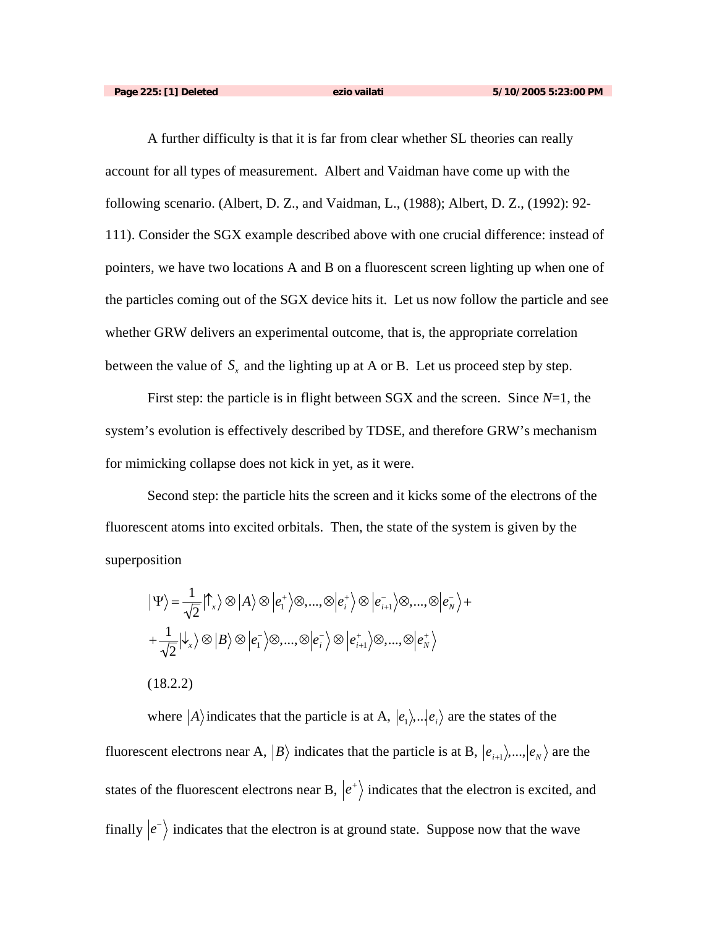A further difficulty is that it is far from clear whether SL theories can really account for all types of measurement. Albert and Vaidman have come up with the following scenario. (Albert, D. Z., and Vaidman, L., (1988); Albert, D. Z., (1992): 92- 111). Consider the SGX example described above with one crucial difference: instead of pointers, we have two locations A and B on a fluorescent screen lighting up when one of the particles coming out of the SGX device hits it. Let us now follow the particle and see whether GRW delivers an experimental outcome, that is, the appropriate correlation between the value of  $S<sub>x</sub>$  and the lighting up at A or B. Let us proceed step by step.

system's evolution is effectively described by TDSE, and therefore GRW's mechanism First step: the particle is in flight between SGX and the screen. Since *N*=1, the for mimicking collapse does not kick in yet, as it were.

Second step: the particle hits the screen and it kicks some of the electrons of the fluorescent atoms into excited orbitals. Then, the state of the system is given by the superposition

$$
\begin{aligned}\n\left| \Psi \right\rangle &= \frac{1}{\sqrt{2}} \left| \uparrow_x \right\rangle \otimes \left| A \right\rangle \otimes \left| e_1^+ \right\rangle \otimes \dots, \otimes \left| e_i^+ \right\rangle \otimes \left| e_{i+1}^- \right\rangle \otimes \dots, \otimes \left| e_n^- \right\rangle + \\
&+ \frac{1}{\sqrt{2}} \left| \downarrow_x \right\rangle \otimes \left| B \right\rangle \otimes \left| e_1^- \right\rangle \otimes \dots, \otimes \left| e_i^- \right\rangle \otimes \left| e_{i+1}^+ \right\rangle \otimes \dots, \otimes \left| e_n^+ \right\rangle \\
&\quad (18.2.2)\n\end{aligned}
$$

where  $|A\rangle$  indicates that the particle is at A,  $|e_1\rangle$ ,  $|e_i\rangle$  are the states of the  $\mathbf{r} = \mathbf{r} \cdot \mathbf{r}$ fluorescent electrons near A,  $|B\rangle$  indicates that the particle is at B,  $|e_{i+1}\rangle$ ,..., $|e_{N}\rangle$  are the states of the fluorescent electrons near B,  $|e^{+}\rangle$  indicates that the electron is excited, and finally  $\ket{e^-}$  indicates that the electron is at ground state. Suppose now that the wave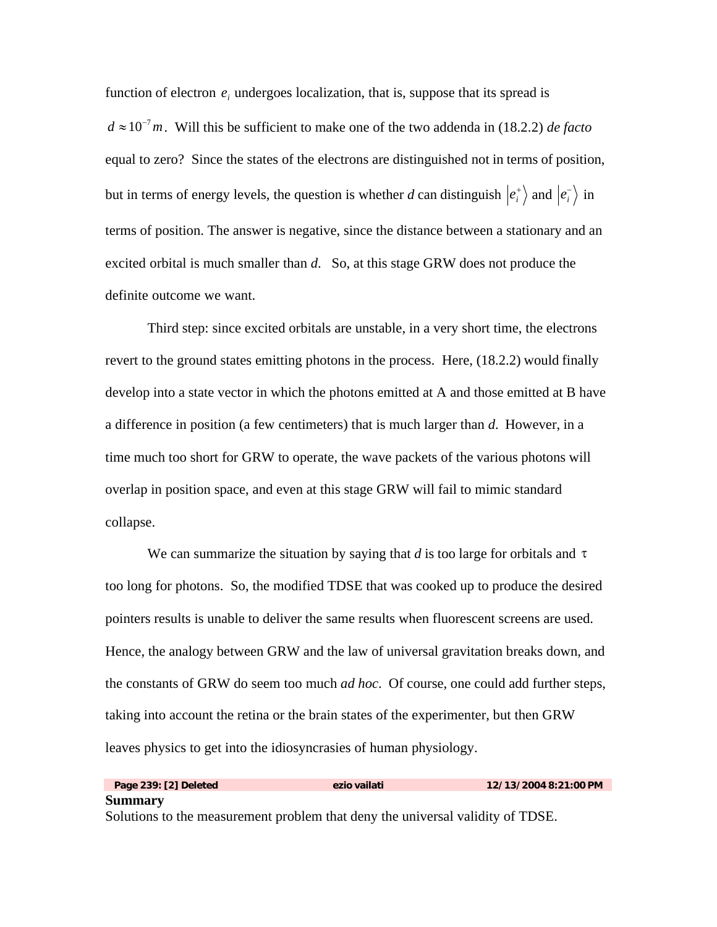function of electron  $e_i$  undergoes localization, that is, suppose that its spread is equal to zero? Since the states of the electrons are distinguished not in terms of position,  $d \approx 10^{-7}$  *m*. Will this be sufficient to make one of the two addenda in (18.2.2) *de facto* but in terms of energy levels, the question is whether *d* can distinguish  $|e_i^{\dagger}\rangle$  and  $|e_i^{\dagger}\rangle$  in excited orbital is much smaller than  $d$ . So, at this stage GRW does not produce the terms of position. The answer is negative, since the distance between a stationary and an definite outcome we want.

Third step: since excited orbitals are unstable, in a very short time, the electrons revert to the ground states emitting photons in the process. Here, (18.2.2) would finally develop into a state vector in which the photons emitted at A and those emitted at B have a difference in position (a few centimeters) that is much larger than *d*. However, in a time much too short for GRW to operate, the wave packets of the various photons will overlap in position space, and even at this stage GRW will fail to mimic standard collapse.

We can summarize the situation by saying that  $d$  is too large for orbitals and  $\tau$ † pointers results is unable to deliver the same results when fluorescent screens are used. too long for photons. So, the modified TDSE that was cooked up to produce the desired Hence, the analogy between GRW and the law of universal gravitation breaks down, and the constants of GRW do seem too much *ad hoc*. Of course, one could add further steps, taking into account the retina or the brain states of the experimenter, but then GRW leaves physics to get into the idiosyncrasies of human physiology.

**Page 239: [2] Deleted ezio vailati 12/13/2004 8:21:00 PM Summary** Solutions to the measurement problem that deny the universal validity of TDSE.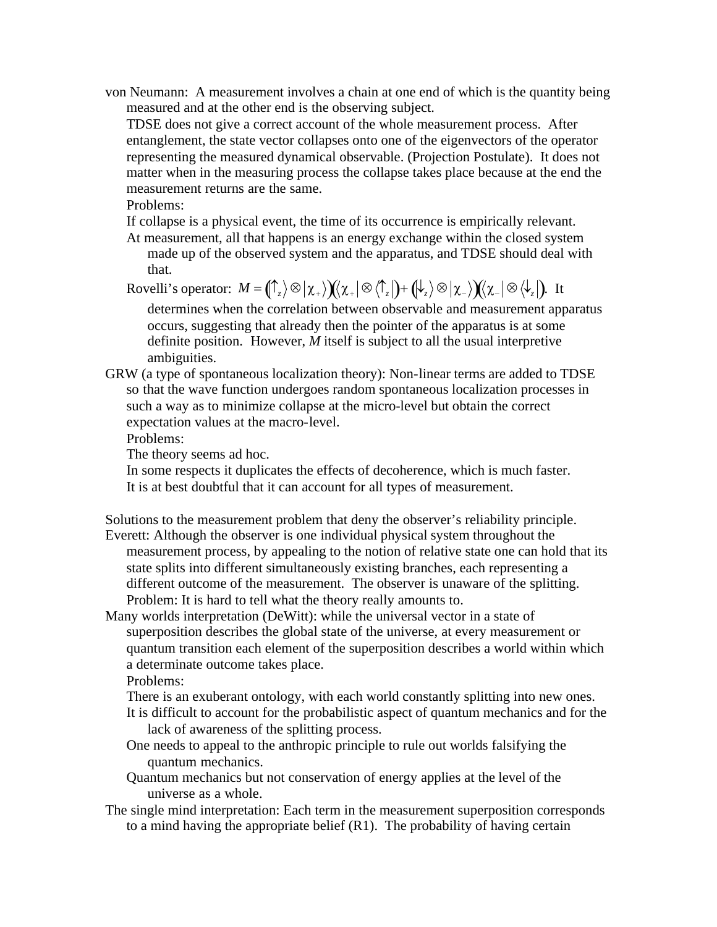von Neumann: A measurement involves a chain at one end of which is the quantity being measured and at the other end is the observing subject.

TDSE does not give a correct account of the whole measurement process. After entanglement, the state vector collapses onto one of the eigenvectors of the operator representing the measured dynamical observable. (Projection Postulate). It does not matter when in the measuring process the collapse takes place because at the end the measurement returns are the same.

Problems:

If collapse is a physical event, the time of its occurrence is empirically relevant.

At measurement, all that happens is an energy exchange within the closed system made up of the observed system and the apparatus, and TDSE should deal with that.

 $\text{Rovelli's operator: } M = \left(\bigcap_z\right> \otimes \left|\chi_+\right> \right) \left(\!\!\left(\chi_+\right| \otimes \left\langle\bigcap_z\right|\!\!\right) + \left(\!\!\left|\downarrow_z\right>\otimes\left|\chi_-\right>\right) \left(\!\!\left(\chi_-\right| \otimes \left\langle\downarrow_z\right|\!\!\right). \text{ It}$ ambiguities. determines when the correlation between observable and measurement apparatus occurs, suggesting that already then the pointer of the apparatus is at some definite position. However, *M* itself is subject to all the usual interpretive

GRW (a type of spontaneous localization theory): Non-linear terms are added to TDSE so that the wave function undergoes random spontaneous localization processes in such a way as to minimize collapse at the micro-level but obtain the correct expectation values at the macro-level.

Problems:

The theory seems ad hoc.

In some respects it duplicates the effects of decoherence, which is much faster. It is at best doubtful that it can account for all types of measurement.

Solutions to the measurement problem that deny the observer's reliability principle. Everett: Although the observer is one individual physical system throughout the

- measurement process, by appealing to the notion of relative state one can hold that its state splits into different simultaneously existing branches, each representing a different outcome of the measurement. The observer is unaware of the splitting. Problem: It is hard to tell what the theory really amounts to.
- Many worlds interpretation (DeWitt): while the universal vector in a state of superposition describes the global state of the universe, at every measurement or quantum transition each element of the superposition describes a world within which a determinate outcome takes place.

Problems:

- There is an exuberant ontology, with each world constantly splitting into new ones.
- It is difficult to account for the probabilistic aspect of quantum mechanics and for the lack of awareness of the splitting process.
- One needs to appeal to the anthropic principle to rule out worlds falsifying the quantum mechanics.
- Quantum mechanics but not conservation of energy applies at the level of the universe as a whole.
- The single mind interpretation: Each term in the measurement superposition corresponds to a mind having the appropriate belief (R1). The probability of having certain